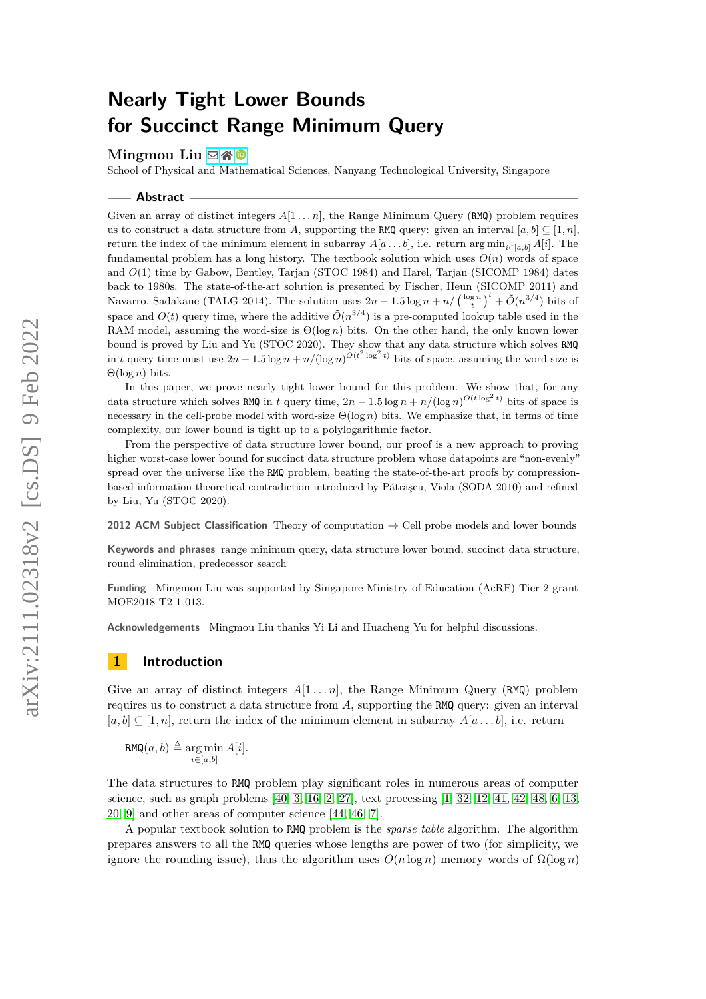# **Nearly Tight Lower Bounds for Succinct Range Minimum Query**

## Mingmou Liu ⊠\* <sup>D</sup>

School of Physical and Mathematical Sciences, Nanyang Technological University, Singapore

#### **Abstract**

Given an array of distinct integers  $A[1 \ldots n]$ , the Range Minimum Query (RMQ) problem requires us to construct a data structure from *A*, supporting the RMQ query: given an interval  $[a, b] \subseteq [1, n]$ , return the index of the minimum element in subarray  $A[a \dots b]$ , i.e. return arg min<sub>i∈[*a,b*]</sub>  $A[i]$ . The fundamental problem has a long history. The textbook solution which uses *O*(*n*) words of space and *O*(1) time by Gabow, Bentley, Tarjan (STOC 1984) and Harel, Tarjan (SICOMP 1984) dates back to 1980s. The state-of-the-art solution is presented by Fischer, Heun (SICOMP 2011) and Navarro, Sadakane (TALG 2014). The solution uses  $2n - 1.5 \log n + n / (\frac{\log n}{t})^t + \tilde{O}(n^{3/4})$  bits of space and  $O(t)$  query time, where the additive  $\tilde{O}(n^{3/4})$  is a pre-computed lookup table used in the RAM model, assuming the word-size is Θ(log *n*) bits. On the other hand, the only known lower bound is proved by Liu and Yu (STOC 2020). They show that any data structure which solves RMQ in *t* query time must use  $2n - 1.5 \log n + n/(\log n)^{O(t^2 \log^2 t)}$  bits of space, assuming the word-size is Θ(log *n*) bits.

In this paper, we prove nearly tight lower bound for this problem. We show that, for any data structure which solves RMQ in *t* query time,  $2n - 1.5 \log n + n/(\log n)^{O(t \log^2 t)}$  bits of space is necessary in the cell-probe model with word-size Θ(log *n*) bits. We emphasize that, in terms of time complexity, our lower bound is tight up to a polylogarithmic factor.

From the perspective of data structure lower bound, our proof is a new approach to proving higher worst-case lower bound for succinct data structure problem whose datapoints are "non-evenly" spread over the universe like the RMQ problem, beating the state-of-the-art proofs by compressionbased information-theoretical contradiction introduced by Pǎtraşcu, Viola (SODA 2010) and refined by Liu, Yu (STOC 2020).

**2012 ACM Subject Classification** Theory of computation → Cell probe models and lower bounds

**Keywords and phrases** range minimum query, data structure lower bound, succinct data structure, round elimination, predecessor search

**Funding** Mingmou Liu was supported by Singapore Ministry of Education (AcRF) Tier 2 grant MOE2018-T2-1-013.

**Acknowledgements** Mingmou Liu thanks Yi Li and Huacheng Yu for helpful discussions.

## **1 Introduction**

Give an array of distinct integers  $A[1 \dots n]$ , the Range Minimum Query (RMQ) problem requires us to construct a data structure from *A*, supporting the RMQ query: given an interval  $[a, b] \subseteq [1, n]$ , return the index of the minimum element in subarray  $A[a \dots b]$ , i.e. return

 $\mathtt{RMQ}(a, b) \triangleq \argmin_{i \in [a, b]}$ *A*[*i*]*.*

The data structures to RMQ problem play significant roles in numerous areas of computer science, such as graph problems  $[40, 3, 16, 2, 27]$  $[40, 3, 16, 2, 27]$  $[40, 3, 16, 2, 27]$  $[40, 3, 16, 2, 27]$  $[40, 3, 16, 2, 27]$  $[40, 3, 16, 2, 27]$  $[40, 3, 16, 2, 27]$  $[40, 3, 16, 2, 27]$  $[40, 3, 16, 2, 27]$ , text processing  $[1, 32, 12, 41, 42, 48, 6, 13]$  $[1, 32, 12, 41, 42, 48, 6, 13]$  $[1, 32, 12, 41, 42, 48, 6, 13]$  $[1, 32, 12, 41, 42, 48, 6, 13]$  $[1, 32, 12, 41, 42, 48, 6, 13]$  $[1, 32, 12, 41, 42, 48, 6, 13]$  $[1, 32, 12, 41, 42, 48, 6, 13]$  $[1, 32, 12, 41, 42, 48, 6, 13]$  $[1, 32, 12, 41, 42, 48, 6, 13]$  $[1, 32, 12, 41, 42, 48, 6, 13]$  $[1, 32, 12, 41, 42, 48, 6, 13]$  $[1, 32, 12, 41, 42, 48, 6, 13]$  $[1, 32, 12, 41, 42, 48, 6, 13]$  $[1, 32, 12, 41, 42, 48, 6, 13]$ [20,](#page-15-4) [9\]](#page-14-4) and other areas of computer science [\[44,](#page-16-4) [46,](#page-16-5) [7\]](#page-14-5).

A popular textbook solution to RMQ problem is the *sparse table* algorithm. The algorithm prepares answers to all the RMQ queries whose lengths are power of two (for simplicity, we ignore the rounding issue), thus the algorithm uses  $O(n \log n)$  memory words of  $\Omega(\log n)$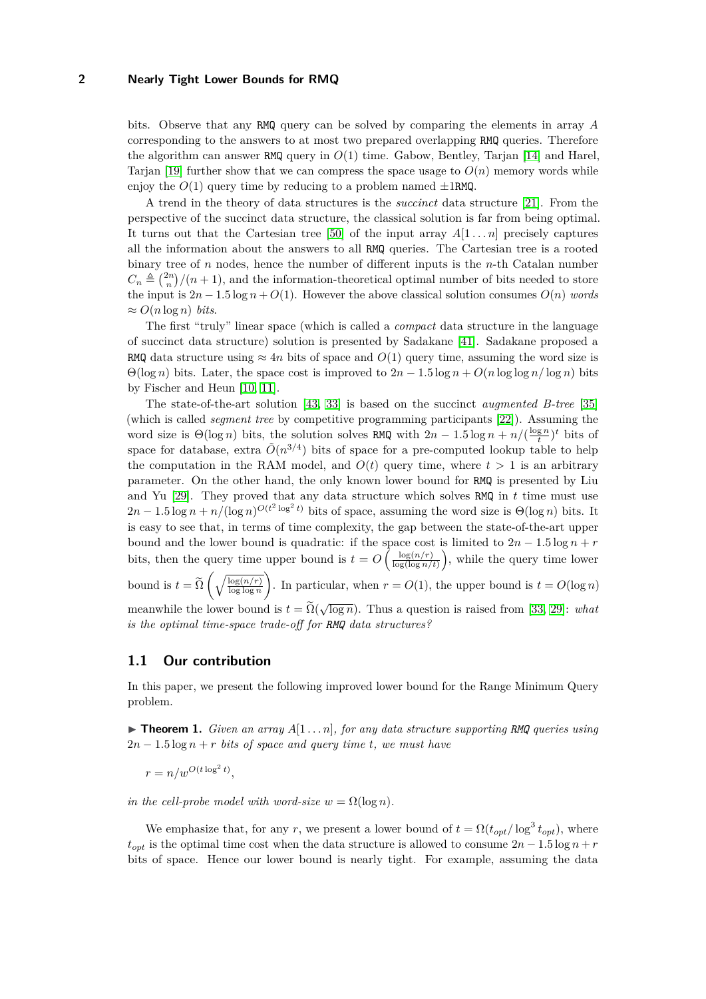bits. Observe that any RMQ query can be solved by comparing the elements in array *A* corresponding to the answers to at most two prepared overlapping RMQ queries. Therefore the algorithm can answer RMQ query in  $O(1)$  time. Gabow, Bentley, Tarjan [\[14\]](#page-15-5) and Harel, Tarjan [\[19\]](#page-15-6) further show that we can compress the space usage to  $O(n)$  memory words while enjoy the  $O(1)$  query time by reducing to a problem named  $\pm 1$ RMQ.

A trend in the theory of data structures is the *succinct* data structure [\[21\]](#page-15-7). From the perspective of the succinct data structure, the classical solution is far from being optimal. It turns out that the Cartesian tree [\[50\]](#page-17-1) of the input array  $A[1 \dots n]$  precisely captures all the information about the answers to all RMQ queries. The Cartesian tree is a rooted binary tree of *n* nodes, hence the number of different inputs is the *n*-th Catalan number  $C_n \triangleq \binom{2n}{n}$  /(*n* + 1), and the information-theoretical optimal number of bits needed to store the input is  $2n - 1.5 \log n + O(1)$ . However the above classical solution consumes  $O(n)$  *words*  $\approx O(n \log n)$  *bits.* 

The first "truly" linear space (which is called a *compact* data structure in the language of succinct data structure) solution is presented by Sadakane [\[41\]](#page-16-2). Sadakane proposed a RMQ data structure using  $\approx 4n$  bits of space and  $O(1)$  query time, assuming the word size is  $\Theta(\log n)$  bits. Later, the space cost is improved to  $2n - 1.5 \log n + O(n \log \log n / \log n)$  bits by Fischer and Heun [\[10,](#page-14-6) [11\]](#page-14-7).

The state-of-the-art solution [\[43,](#page-16-6) [33\]](#page-16-7) is based on the succinct *augmented B-tree* [\[35\]](#page-16-8) (which is called *segment tree* by competitive programming participants [\[22\]](#page-15-8)). Assuming the word size is  $\Theta(\log n)$  bits, the solution solves RMQ with  $2n - 1.5 \log n + n/(\frac{\log n}{t})^t$  bits of space for database, extra  $\tilde{O}(n^{3/4})$  bits of space for a pre-computed lookup table to help the computation in the RAM model, and  $O(t)$  query time, where  $t > 1$  is an arbitrary parameter. On the other hand, the only known lower bound for RMQ is presented by Liu and Yu [\[29\]](#page-15-9). They proved that any data structure which solves RMQ in *t* time must use  $2n - 1.5 \log n + n/(\log n)^{O(t^2 \log^2 t)}$  bits of space, assuming the word size is  $\Theta(\log n)$  bits. It is easy to see that, in terms of time complexity, the gap between the state-of-the-art upper bound and the lower bound is quadratic: if the space cost is limited to  $2n - 1.5 \log n + r$ bits, then the query time upper bound is  $t = O\left(\frac{\log(n/r)}{\log(\log n)}\right)$  $\frac{\log(n/r)}{\log(\log n/t)}$ , while the query time lower bound is  $t = \widetilde{\Omega} \left( \sqrt{\frac{\log(n/r)}{\log \log n}} \right)$ ). In particular, when  $r = O(1)$ , the upper bound is  $t = O(\log n)$ 

meanwhile the lower bound is  $t = \Omega(\sqrt{\log n})$ . Thus a question is raised from [\[33,](#page-16-7) [29\]](#page-15-9): *what* √ *is the optimal time-space trade-off for RMQ data structures?*

## **1.1 Our contribution**

In this paper, we present the following improved lower bound for the Range Minimum Query problem.

<span id="page-1-0"></span> $\triangleright$  **Theorem 1.** *Given an array*  $A[1 \dots n]$ *, for any data structure supporting RMQ queries using*  $2n - 1.5 \log n + r$  *bits of space and query time t, we must have* 

 $r = n/w^{O(t \log^2 t)},$ 

*in the cell-probe model with word-size*  $w = \Omega(\log n)$ .

We emphasize that, for any *r*, we present a lower bound of  $t = \Omega(t_{opt}/\log^3 t_{opt})$ , where  $t_{opt}$  is the optimal time cost when the data structure is allowed to consume  $2n - 1.5 \log n + r$ bits of space. Hence our lower bound is nearly tight. For example, assuming the data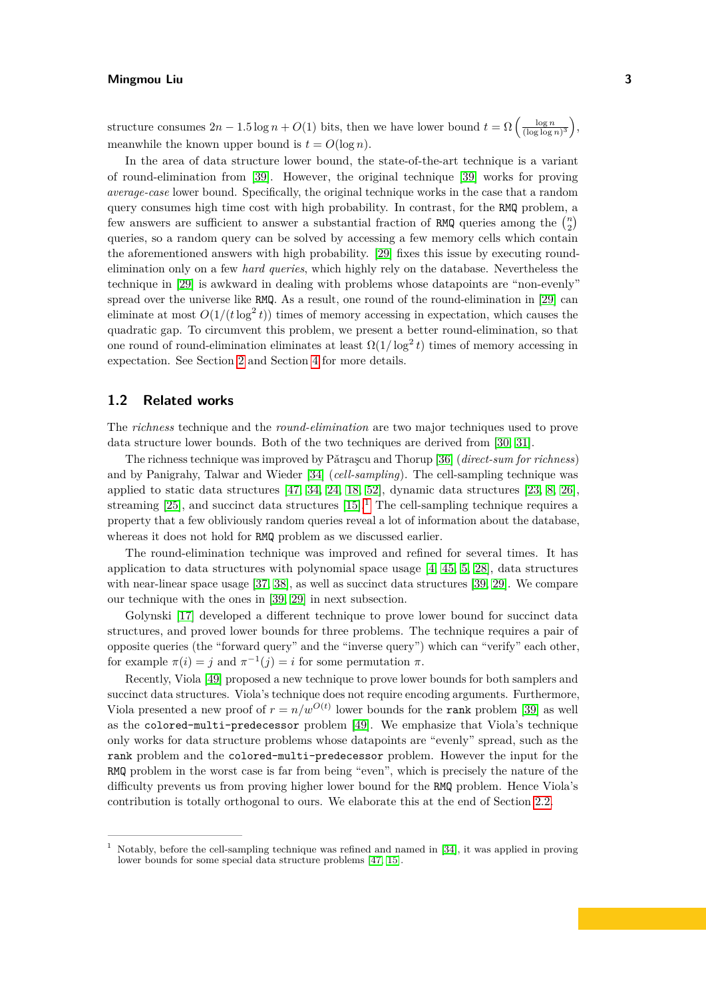structure consumes  $2n - 1.5 \log n + O(1)$  bits, then we have lower bound  $t = \Omega \left( \frac{\log n}{(\log \log n)^3} \right)$ , meanwhile the known upper bound is  $t = O(\log n)$ .

In the area of data structure lower bound, the state-of-the-art technique is a variant of round-elimination from [\[39\]](#page-16-9). However, the original technique [\[39\]](#page-16-9) works for proving *average-case* lower bound. Specifically, the original technique works in the case that a random query consumes high time cost with high probability. In contrast, for the RMQ problem, a few answers are sufficient to answer a substantial fraction of RMQ queries among the  $\binom{n}{2}$ queries, so a random query can be solved by accessing a few memory cells which contain the aforementioned answers with high probability. [\[29\]](#page-15-9) fixes this issue by executing roundelimination only on a few *hard queries*, which highly rely on the database. Nevertheless the technique in [\[29\]](#page-15-9) is awkward in dealing with problems whose datapoints are "non-evenly" spread over the universe like RMQ. As a result, one round of the round-elimination in [\[29\]](#page-15-9) can eliminate at most  $O(1/(t \log^2 t))$  times of memory accessing in expectation, which causes the quadratic gap. To circumvent this problem, we present a better round-elimination, so that one round of round-elimination eliminates at least  $\Omega(1/\log^2 t)$  times of memory accessing in expectation. See Section [2](#page-3-0) and Section [4](#page-11-0) for more details.

## **1.2 Related works**

The *richness* technique and the *round-elimination* are two major techniques used to prove data structure lower bounds. Both of the two techniques are derived from [\[30,](#page-16-10) [31\]](#page-16-11).

The richness technique was improved by Pǎtrascu and Thorup [\[36\]](#page-16-12) (*direct-sum for richness*) and by Panigrahy, Talwar and Wieder [\[34\]](#page-16-13) (*cell-sampling*). The cell-sampling technique was applied to static data structures [\[47,](#page-16-14) [34,](#page-16-13) [24,](#page-15-10) [18,](#page-15-11) [52\]](#page-17-2), dynamic data structures [\[23,](#page-15-12) [8,](#page-14-8) [26\]](#page-15-13), streaming  $[25]$ , and succinct data structures  $[15]$ .<sup>[1](#page-2-0)</sup> The cell-sampling technique requires a property that a few obliviously random queries reveal a lot of information about the database, whereas it does not hold for RMQ problem as we discussed earlier.

The round-elimination technique was improved and refined for several times. It has application to data structures with polynomial space usage [\[4,](#page-14-9) [45,](#page-16-15) [5,](#page-14-10) [28\]](#page-15-16), data structures with near-linear space usage [\[37,](#page-16-16) [38\]](#page-16-17), as well as succinct data structures [\[39,](#page-16-9) [29\]](#page-15-9). We compare our technique with the ones in [\[39,](#page-16-9) [29\]](#page-15-9) in next subsection.

Golynski [\[17\]](#page-15-17) developed a different technique to prove lower bound for succinct data structures, and proved lower bounds for three problems. The technique requires a pair of opposite queries (the "forward query" and the "inverse query") which can "verify" each other, for example  $\pi(i) = j$  and  $\pi^{-1}(j) = i$  for some permutation  $\pi$ .

Recently, Viola [\[49\]](#page-17-3) proposed a new technique to prove lower bounds for both samplers and succinct data structures. Viola's technique does not require encoding arguments. Furthermore, Viola presented a new proof of  $r = n/w^{O(t)}$  lower bounds for the rank problem [\[39\]](#page-16-9) as well as the colored-multi-predecessor problem [\[49\]](#page-17-3). We emphasize that Viola's technique only works for data structure problems whose datapoints are "evenly" spread, such as the rank problem and the colored-multi-predecessor problem. However the input for the RMQ problem in the worst case is far from being "even", which is precisely the nature of the difficulty prevents us from proving higher lower bound for the RMQ problem. Hence Viola's contribution is totally orthogonal to ours. We elaborate this at the end of Section [2.2.](#page-4-0)

<span id="page-2-0"></span><sup>1</sup> Notably, before the cell-sampling technique was refined and named in [\[34\]](#page-16-13), it was applied in proving lower bounds for some special data structure problems [\[47,](#page-16-14) [15\]](#page-15-15).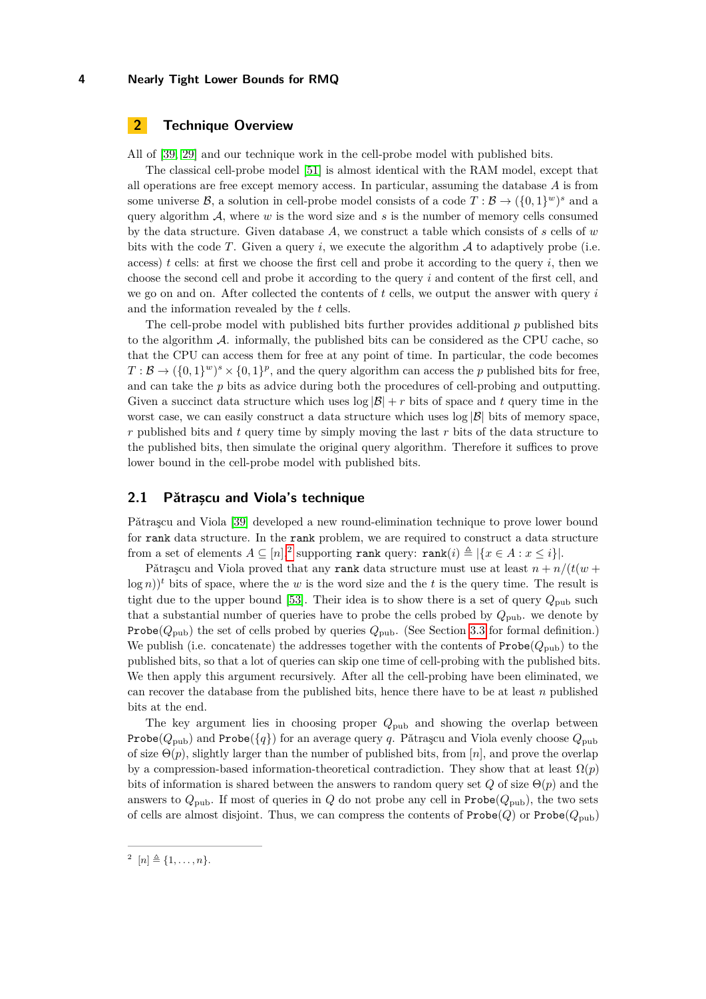## <span id="page-3-0"></span>**2 Technique Overview**

All of [\[39,](#page-16-9) [29\]](#page-15-9) and our technique work in the cell-probe model with published bits.

The classical cell-probe model [\[51\]](#page-17-4) is almost identical with the RAM model, except that all operations are free except memory access. In particular, assuming the database *A* is from some universe  $\mathcal{B}$ , a solution in cell-probe model consists of a code  $T : \mathcal{B} \to (\{0,1\}^w)^s$  and a query algorithm  $A$ , where  $w$  is the word size and  $s$  is the number of memory cells consumed by the data structure. Given database *A*, we construct a table which consists of *s* cells of *w* bits with the code  $T$ . Given a query  $i$ , we execute the algorithm  $A$  to adaptively probe (i.e. access) *t* cells: at first we choose the first cell and probe it according to the query *i*, then we choose the second cell and probe it according to the query *i* and content of the first cell, and we go on and on. After collected the contents of *t* cells, we output the answer with query *i* and the information revealed by the *t* cells.

The cell-probe model with published bits further provides additional *p* published bits to the algorithm  $A$ . informally, the published bits can be considered as the CPU cache, so that the CPU can access them for free at any point of time. In particular, the code becomes  $T: \mathcal{B} \to (\{0,1\}^w)^s \times \{0,1\}^p$ , and the query algorithm can access the *p* published bits for free, and can take the *p* bits as advice during both the procedures of cell-probing and outputting. Given a succinct data structure which uses  $\log |\mathcal{B}| + r$  bits of space and t query time in the worst case, we can easily construct a data structure which uses  $\log |\mathcal{B}|$  bits of memory space, *r* published bits and *t* query time by simply moving the last *r* bits of the data structure to the published bits, then simulate the original query algorithm. Therefore it suffices to prove lower bound in the cell-probe model with published bits.

### **2.1 Pătrașcu and Viola's technique**

Pǎtraṣcu and Viola [\[39\]](#page-16-9) developed a new round-elimination technique to prove lower bound for rank data structure. In the rank problem, we are required to construct a data structure from a set of elements  $A \subseteq [n],^2$  $A \subseteq [n],^2$  supporting rank query: rank $(i) \triangleq |\{x \in A : x \leq i\}|$ .

Pǎtrascu and Viola proved that any rank data structure must use at least  $n + n/(t(w +$  $log n$ )<sup>t</sup> bits of space, where the *w* is the word size and the *t* is the query time. The result is tight due to the upper bound [\[53\]](#page-17-5). Their idea is to show there is a set of query  $Q_{\text{pub}}$  such that a substantial number of queries have to probe the cells probed by  $Q_{\text{pub}}$ . we denote by **Probe**( $Q_{\text{pub}}$ ) the set of cells probed by queries  $Q_{\text{pub}}$ . (See Section [3.3](#page-10-0) for formal definition.) We publish (i.e. concatenate) the addresses together with the contents of  $\text{Prob}(Q_{\text{pub}})$  to the published bits, so that a lot of queries can skip one time of cell-probing with the published bits. We then apply this argument recursively. After all the cell-probing have been eliminated, we can recover the database from the published bits, hence there have to be at least *n* published bits at the end.

The key argument lies in choosing proper *Q*pub and showing the overlap between Probe( $Q_{\text{pub}}$ ) and Probe( $\{q\}$ ) for an average query *q*. Pǎtraşcu and Viola evenly choose  $Q_{\text{pub}}$ of size  $\Theta(p)$ , slightly larger than the number of published bits, from [*n*], and prove the overlap by a compression-based information-theoretical contradiction. They show that at least  $\Omega(p)$ bits of information is shared between the answers to random query set *Q* of size Θ(*p*) and the answers to  $Q_{\text{pub}}$ . If most of queries in *Q* do not probe any cell in Probe( $Q_{\text{pub}}$ ), the two sets of cells are almost disjoint. Thus, we can compress the contents of  $\text{Prob}(Q)$  or  $\text{Prob}(Q_{\text{pub}})$ 

<span id="page-3-1"></span> $2^{n}$  [*n*]  $\triangleq \{1, \ldots, n\}.$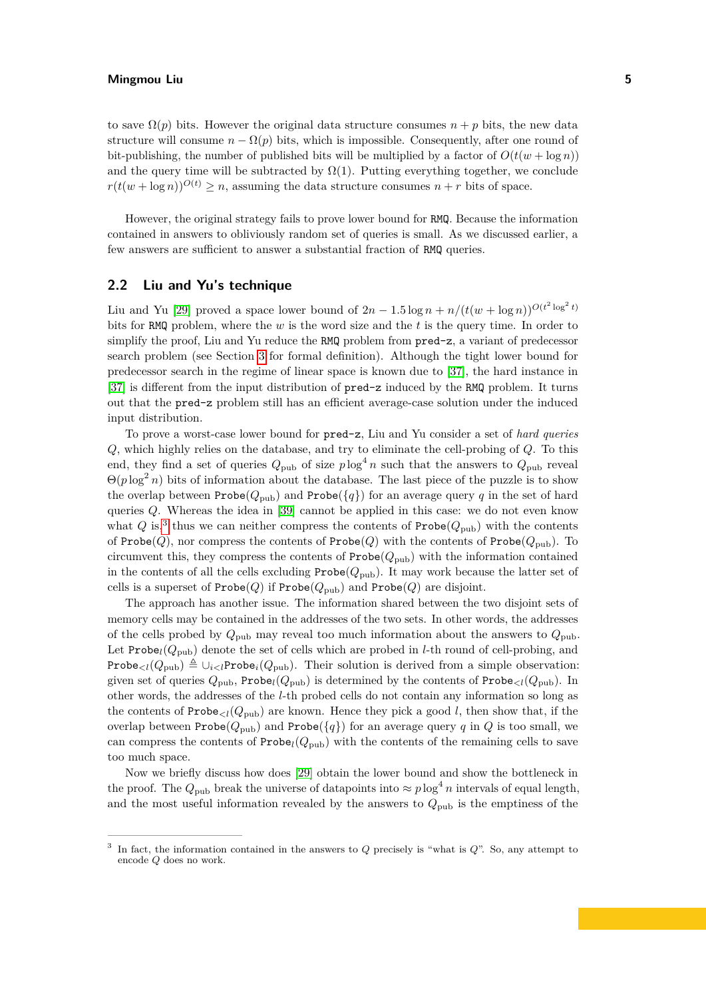to save  $\Omega(p)$  bits. However the original data structure consumes  $n + p$  bits, the new data structure will consume  $n - \Omega(p)$  bits, which is impossible. Consequently, after one round of bit-publishing, the number of published bits will be multiplied by a factor of  $O(t(w + \log n))$ and the query time will be subtracted by  $\Omega(1)$ . Putting everything together, we conclude  $r(t(w + \log n))^{O(t)} \geq n$ , assuming the data structure consumes  $n + r$  bits of space.

However, the original strategy fails to prove lower bound for RMQ. Because the information contained in answers to obliviously random set of queries is small. As we discussed earlier, a few answers are sufficient to answer a substantial fraction of RMQ queries.

## <span id="page-4-0"></span>**2.2 Liu and Yu's technique**

Liu and Yu [\[29\]](#page-15-9) proved a space lower bound of  $2n - 1.5 \log n + n/(t(w + \log n))^{O(t^2 \log^2 t)}$ bits for RMQ problem, where the *w* is the word size and the *t* is the query time. In order to simplify the proof, Liu and Yu reduce the RMQ problem from  $pred-z$ , a variant of predecessor search problem (see Section [3](#page-7-0) for formal definition). Although the tight lower bound for predecessor search in the regime of linear space is known due to [\[37\]](#page-16-16), the hard instance in [\[37\]](#page-16-16) is different from the input distribution of pred-z induced by the RMQ problem. It turns out that the pred-z problem still has an efficient average-case solution under the induced input distribution.

To prove a worst-case lower bound for pred-z, Liu and Yu consider a set of *hard queries Q*, which highly relies on the database, and try to eliminate the cell-probing of *Q*. To this end, they find a set of queries  $Q_{\text{pub}}$  of size  $p \log^4 n$  such that the answers to  $Q_{\text{pub}}$  reveal  $\Theta(p \log^2 n)$  bits of information about the database. The last piece of the puzzle is to show the overlap between Probe( $Q_{\text{pub}}$ ) and Probe( $\{q\}$ ) for an average query q in the set of hard queries *Q*. Whereas the idea in [\[39\]](#page-16-9) cannot be applied in this case: we do not even know what  $Q$  is,<sup>[3](#page-4-1)</sup> thus we can neither compress the contents of  $\text{Probe}(Q_{\text{pub}})$  with the contents of Probe( $Q$ ), nor compress the contents of Probe( $Q$ ) with the contents of Probe( $Q_{\text{pub}}$ ). To circumvent this, they compress the contents of  $\text{Probe}(Q_{\text{pub}})$  with the information contained in the contents of all the cells excluding  $\text{Probe}(Q_{\text{pub}})$ . It may work because the latter set of cells is a superset of  $\text{Probe}(Q)$  if  $\text{Probe}(Q_{\text{pub}})$  and  $\text{Probe}(Q)$  are disjoint.

The approach has another issue. The information shared between the two disjoint sets of memory cells may be contained in the addresses of the two sets. In other words, the addresses of the cells probed by  $Q_{\text{pub}}$  may reveal too much information about the answers to  $Q_{\text{pub}}$ . Let Probe<sub>l</sub>( $Q_{\text{pub}}$ ) denote the set of cells which are probed in *l*-th round of cell-probing, and Probe<sub><l</sub>( $Q_{\text{pub}}$ )  $\triangleq \cup_{i \lt l}$ Probe<sub>*i*</sub>( $Q_{\text{pub}}$ ). Their solution is derived from a simple observation: given set of queries  $Q_{\text{pub}}$ , Probe<sub>l</sub>( $Q_{\text{pub}}$ ) is determined by the contents of Probe<sub> $\lt l$ </sub>( $Q_{\text{pub}}$ ). In other words, the addresses of the *l*-th probed cells do not contain any information so long as the contents of  $\text{Probe}_{< l}(Q_{\text{pub}})$  are known. Hence they pick a good *l*, then show that, if the overlap between Probe( $Q_{\text{pub}}$ ) and Probe( $\{q\}$ ) for an average query *q* in *Q* is too small, we can compress the contents of  $\text{Probe}_l(Q_{\text{pub}})$  with the contents of the remaining cells to save too much space.

Now we briefly discuss how does [\[29\]](#page-15-9) obtain the lower bound and show the bottleneck in the proof. The  $Q_{\text{pub}}$  break the universe of datapoints into  $\approx p \log^4 n$  intervals of equal length, and the most useful information revealed by the answers to  $Q_{\text{pub}}$  is the emptiness of the

<span id="page-4-1"></span><sup>3</sup> In fact, the information contained in the answers to *Q* precisely is "what is *Q*". So, any attempt to encode *Q* does no work.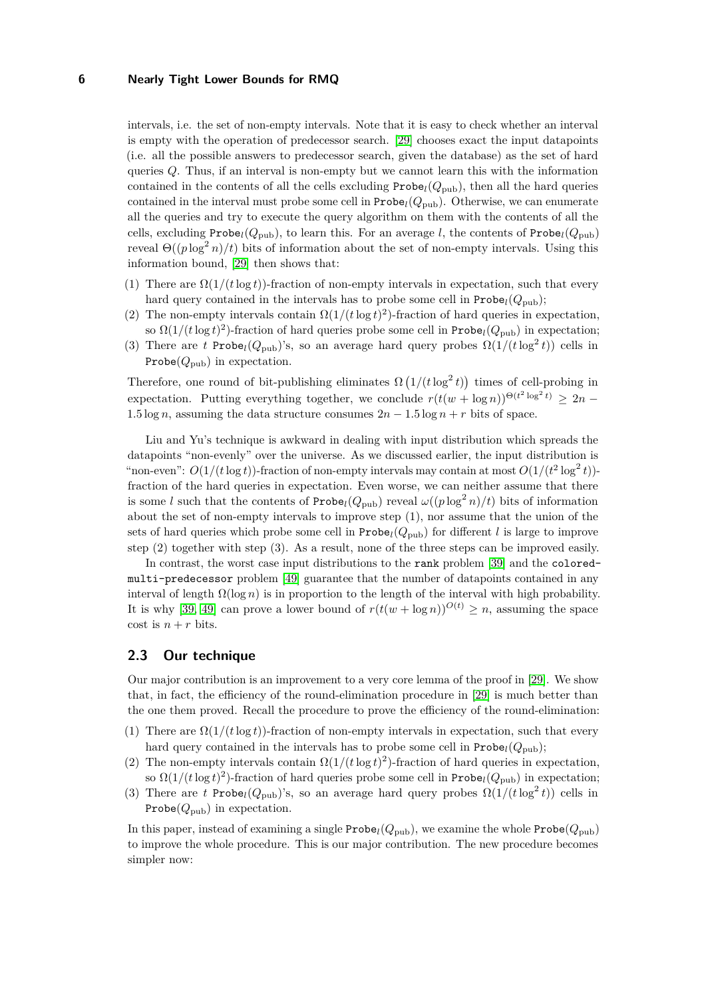intervals, i.e. the set of non-empty intervals. Note that it is easy to check whether an interval is empty with the operation of predecessor search. [\[29\]](#page-15-9) chooses exact the input datapoints (i.e. all the possible answers to predecessor search, given the database) as the set of hard queries *Q*. Thus, if an interval is non-empty but we cannot learn this with the information contained in the contents of all the cells excluding  $\text{Probe}_l(Q_{\text{pub}})$ , then all the hard queries contained in the interval must probe some cell in  $\text{Prob}(Q_{\text{pub}})$ . Otherwise, we can enumerate all the queries and try to execute the query algorithm on them with the contents of all the cells, excluding  $\text{Probe}_l(Q_{\text{pub}})$ , to learn this. For an average *l*, the contents of  $\text{Probe}_l(Q_{\text{pub}})$ reveal  $\Theta((p \log^2 n)/t)$  bits of information about the set of non-empty intervals. Using this information bound, [\[29\]](#page-15-9) then shows that:

- (1) There are  $\Omega(1/(t \log t))$ -fraction of non-empty intervals in expectation, such that every hard query contained in the intervals has to probe some cell in  $\text{Probe}_l(Q_{\text{pub}});$
- (2) The non-empty intervals contain  $\Omega(1/(t \log t)^2)$ -fraction of hard queries in expectation, so  $\Omega(1/(t \log t)^2)$ -fraction of hard queries probe some cell in Probe<sub>l</sub>( $Q_{\text{pub}}$ ) in expectation;
- (3) There are *t* Probe<sub>l</sub>( $Q_{\text{pub}}$ )'s, so an average hard query probes  $\Omega(1/(t \log^2 t))$  cells in Probe $(Q_{\text{pub}})$  in expectation.

Therefore, one round of bit-publishing eliminates  $\Omega\left(1/(t \log^2 t)\right)$  times of cell-probing in expectation. Putting everything together, we conclude  $r(t(w + \log n))^{\Theta(t^2 \log^2 t)} \geq 2n -$ 1.5 log *n*, assuming the data structure consumes  $2n - 1.5 \log n + r$  bits of space.

Liu and Yu's technique is awkward in dealing with input distribution which spreads the datapoints "non-evenly" over the universe. As we discussed earlier, the input distribution is "non-even":  $O(1/(t \log t))$ -fraction of non-empty intervals may contain at most  $O(1/(t^2 \log^2 t))$ fraction of the hard queries in expectation. Even worse, we can neither assume that there is some *l* such that the contents of  $\text{Probe}_l(Q_{\text{pub}})$  reveal  $\omega((p \log^2 n)/t)$  bits of information about the set of non-empty intervals to improve step (1), nor assume that the union of the sets of hard queries which probe some cell in  $\text{Probe}_l(Q_{\text{pub}})$  for different *l* is large to improve step (2) together with step (3). As a result, none of the three steps can be improved easily.

In contrast, the worst case input distributions to the rank problem [\[39\]](#page-16-9) and the coloredmulti-predecessor problem [\[49\]](#page-17-3) guarantee that the number of datapoints contained in any interval of length  $\Omega(\log n)$  is in proportion to the length of the interval with high probability. It is why [\[39,](#page-16-9) [49\]](#page-17-3) can prove a lower bound of  $r(t(w + \log n))^{O(t)} \geq n$ , assuming the space cost is  $n + r$  bits.

## **2.3 Our technique**

Our major contribution is an improvement to a very core lemma of the proof in [\[29\]](#page-15-9). We show that, in fact, the efficiency of the round-elimination procedure in [\[29\]](#page-15-9) is much better than the one them proved. Recall the procedure to prove the efficiency of the round-elimination:

- (1) There are  $\Omega(1/(t \log t))$ -fraction of non-empty intervals in expectation, such that every hard query contained in the intervals has to probe some cell in  $\text{Probe}_l(Q_{\text{pub}});$
- (2) The non-empty intervals contain  $\Omega(1/(t \log t)^2)$ -fraction of hard queries in expectation, so  $\Omega(1/(t \log t)^2)$ -fraction of hard queries probe some cell in Probe<sub>l</sub>( $Q_{\text{pub}}$ ) in expectation;
- (3) There are *t* Probe<sub>l</sub>( $Q_{\text{pub}}$ )'s, so an average hard query probes  $\Omega(1/(t \log^2 t))$  cells in Probe $(Q_{\text{pub}})$  in expectation.

In this paper, instead of examining a single  $\text{Probe}_l(Q_{\text{pub}})$ , we examine the whole  $\text{Probe}(Q_{\text{pub}})$ to improve the whole procedure. This is our major contribution. The new procedure becomes simpler now: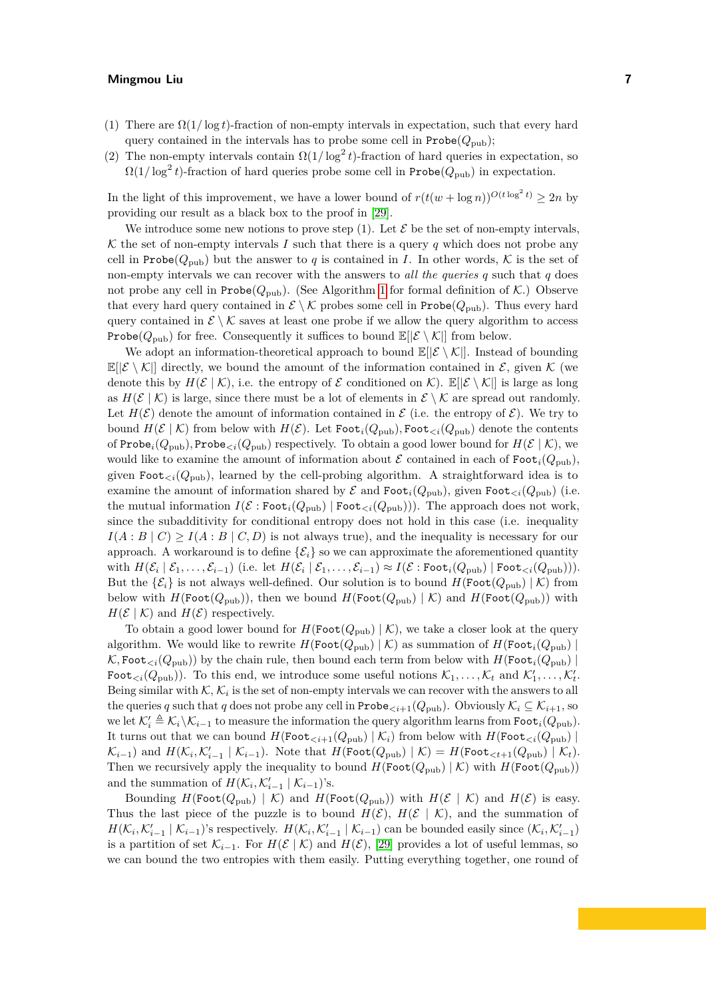- (1) There are  $\Omega(1/\log t)$ -fraction of non-empty intervals in expectation, such that every hard query contained in the intervals has to probe some cell in  $\text{Probe}(Q_{\text{pub}});$
- (2) The non-empty intervals contain  $\Omega(1/\log^2 t)$ -fraction of hard queries in expectation, so  $\Omega(1/\log^2 t)$ -fraction of hard queries probe some cell in Probe $(Q_{\text{pub}})$  in expectation.

In the light of this improvement, we have a lower bound of  $r(t(w + \log n))^{O(t \log^2 t)} \geq 2n$  by providing our result as a black box to the proof in [\[29\]](#page-15-9).

We introduce some new notions to prove step (1). Let  $\mathcal E$  be the set of non-empty intervals, K the set of non-empty intervals I such that there is a query q which does not probe any cell in Probe( $Q_{\text{pub}}$ ) but the answer to q is contained in *I*. In other words, K is the set of non-empty intervals we can recover with the answers to *all the queries q* such that *q* does not probe any cell in  $\text{Probe}(Q_{\text{pub}})$ . (See Algorithm [1](#page-8-0) for formal definition of K.) Observe that every hard query contained in  $\mathcal{E} \setminus \mathcal{K}$  probes some cell in Probe( $Q_{\text{pub}}$ ). Thus every hard query contained in  $\mathcal{E} \setminus \mathcal{K}$  saves at least one probe if we allow the query algorithm to access **Probe**( $Q_{\text{pub}}$ ) for free. Consequently it suffices to bound  $\mathbb{E}[\mathcal{E} \setminus \mathcal{K}]$  from below.

We adopt an information-theoretical approach to bound  $\mathbb{E}(|\mathcal{E} \setminus \mathcal{K}|)$ . Instead of bounding  $\mathbb{E}[\mathcal{E}\setminus\mathcal{K}]$  directly, we bound the amount of the information contained in  $\mathcal{E}$ , given  $\mathcal{K}$  (we denote this by  $H(\mathcal{E} \mid \mathcal{K})$ , i.e. the entropy of  $\mathcal E$  conditioned on  $\mathcal{K}$ ).  $\mathbb E[|\mathcal{E} \setminus \mathcal{K}|]$  is large as long as  $H(\mathcal{E} \mid \mathcal{K})$  is large, since there must be a lot of elements in  $\mathcal{E} \setminus \mathcal{K}$  are spread out randomly. Let  $H(\mathcal{E})$  denote the amount of information contained in  $\mathcal{E}$  (i.e. the entropy of  $\mathcal{E}$ ). We try to bound  $H(\mathcal{E} \mid \mathcal{K})$  from below with  $H(\mathcal{E})$ . Let Foot<sub>*i*</sub>( $Q_{\text{pub}}$ ), Foot<sub> $\langle i(Q_{\text{pub}})$ </sub> denote the contents of Probe<sub>*i*</sub>( $Q_{\text{pub}}$ ), Probe<sub> $\epsilon_i$ </sub>( $Q_{\text{pub}}$ ) respectively. To obtain a good lower bound for  $H(\mathcal{E} \mid \mathcal{K})$ , we would like to examine the amount of information about  $\mathcal E$  contained in each of Foot<sub>i</sub>( $Q_{\text{pub}}$ ), given Foot<sub>ci</sub>( $Q_{\text{pub}}$ ), learned by the cell-probing algorithm. A straightforward idea is to examine the amount of information shared by  $\mathcal E$  and  $\text{Foot}_{i}(Q_{\text{pub}})$ , given  $\text{Foot}_{\leq i}(Q_{\text{pub}})$  (i.e. the mutual information  $I(\mathcal{E} : \text{Foot}_{i}(Q_{\text{pub}}) | \text{Foot}_{\leq i}(Q_{\text{pub}}))$ . The approach does not work, since the subadditivity for conditional entropy does not hold in this case (i.e. inequality  $I(A:B | C) \geq I(A:B | C,D)$  is not always true), and the inequality is necessary for our approach. A workaround is to define  $\{\mathcal{E}_i\}$  so we can approximate the aforementioned quantity with  $H(\mathcal{E}_i \mid \mathcal{E}_1, \ldots, \mathcal{E}_{i-1})$  (i.e. let  $H(\mathcal{E}_i \mid \mathcal{E}_1, \ldots, \mathcal{E}_{i-1}) \approx I(\mathcal{E} : \texttt{Foot}_{i}(Q_{\text{pub}}) \mid \texttt{Foot}_{\leq i}(Q_{\text{pub}}))).$ But the  $\{\mathcal{E}_i\}$  is not always well-defined. Our solution is to bound  $H(\text{Foot}(Q_{\text{pub}}) | \mathcal{K})$  from below with  $H(\text{Foot}(Q_{\text{pub}}))$ , then we bound  $H(\text{Foot}(Q_{\text{pub}}) \mid K)$  and  $H(\text{Foot}(Q_{\text{pub}}))$  with  $H(\mathcal{E} \mid \mathcal{K})$  and  $H(\mathcal{E})$  respectively.

To obtain a good lower bound for  $H(\text{Foot}(Q_{\text{pub}}) | K)$ , we take a closer look at the query algorithm. We would like to rewrite  $H(\text{Foot}(Q_{\text{pub}}) | K)$  as summation of  $H(\text{Foot}(Q_{\text{pub}}))$  $K$ , Foot<sub> $\lt i$ </sub>( $Q_{\text{pub}}$ )) by the chain rule, then bound each term from below with  $H(\text{Foot}_{i}(Q_{\text{pub}}))$ Foot<sub> $\langle i(Q_{\text{pub}}) \rangle$ . To this end, we introduce some useful notions  $\mathcal{K}_1, \ldots, \mathcal{K}_t$  and  $\mathcal{K}'_1, \ldots, \mathcal{K}'_t$ .</sub> Being similar with  $K$ ,  $K_i$  is the set of non-empty intervals we can recover with the answers to all the queries *q* such that *q* does not probe any cell in Probe<sub>*. Obviously*  $\mathcal{K}_i \subseteq \mathcal{K}_{i+1}$ *, so</sub>*  $\mathcal{L}_{i}$  is  $\mathcal{K}_{i}$   $\triangleq$   $\mathcal{K}_{i} \setminus \mathcal{K}_{i-1}$  to measure the information the query algorithm learns from Foot<sub>*i*</sub>( $Q_{\text{pub}}$ ). It turns out that we can bound  $H(\text{Foot}_{\leq i+1}(Q_{\text{pub}}) | \mathcal{K}_i)$  from below with  $H(\text{Foot}_{\leq i}(Q_{\text{pub}}) |$  $\mathcal{K}_{i-1}$  and  $H(\mathcal{K}_i, \mathcal{K}'_{i-1} | \mathcal{K}_{i-1})$ . Note that  $H(\text{Foot}(Q_{\text{pub}}) | \mathcal{K}) = H(\text{Foot}_{\leq t+1}(Q_{\text{pub}}) | \mathcal{K}_t)$ . Then we recursively apply the inequality to bound  $H(\text{Foot}(Q_{\text{pub}}) | K)$  with  $H(\text{Foot}(Q_{\text{pub}}))$ and the summation of  $H(\mathcal{K}_i, \mathcal{K}'_{i-1} | \mathcal{K}_{i-1})$ 's.

Bounding  $H(\text{Foot}(Q_{\text{pub}}) | K)$  and  $H(\text{Foot}(Q_{\text{pub}}))$  with  $H(\mathcal{E} | K)$  and  $H(\mathcal{E})$  is easy. Thus the last piece of the puzzle is to bound  $H(\mathcal{E}), H(\mathcal{E} \mid \mathcal{K})$ , and the summation of  $H(\mathcal{K}_i, \mathcal{K}'_{i-1} | \mathcal{K}_{i-1})$ 's respectively.  $H(\mathcal{K}_i, \mathcal{K}'_{i-1} | \mathcal{K}_{i-1})$  can be bounded easily since  $(\mathcal{K}_i, \mathcal{K}'_{i-1})$ is a partition of set  $\mathcal{K}_{i-1}$ . For  $H(\mathcal{E} \mid \mathcal{K})$  and  $H(\mathcal{E})$ , [\[29\]](#page-15-9) provides a lot of useful lemmas, so we can bound the two entropies with them easily. Putting everything together, one round of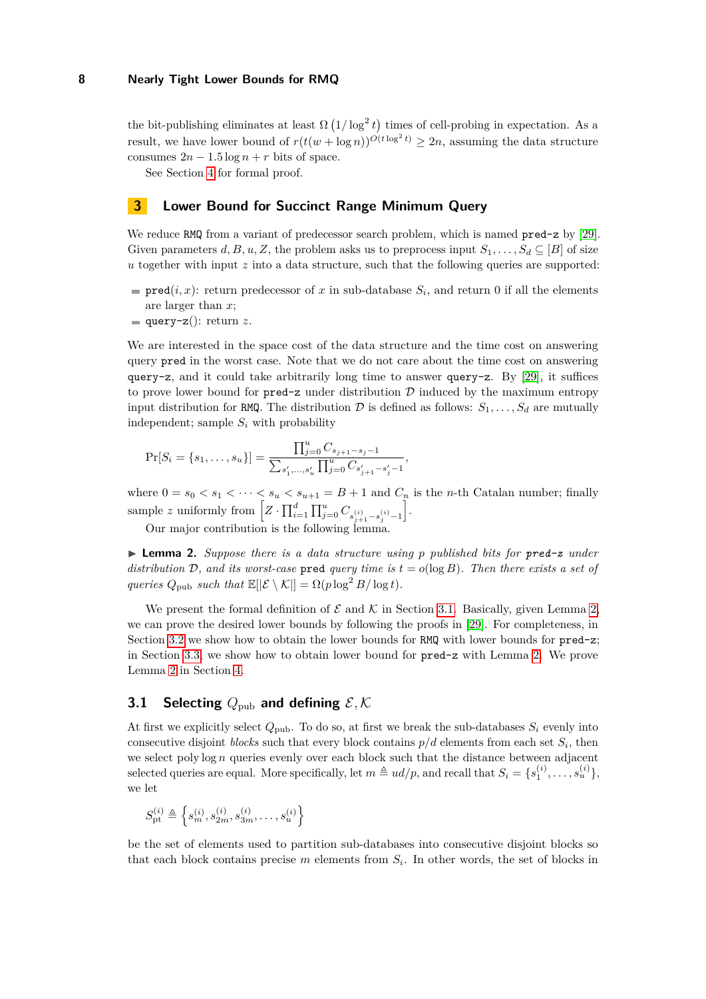the bit-publishing eliminates at least  $\Omega(1/\log^2 t)$  times of cell-probing in expectation. As a result, we have lower bound of  $r(t(w + \log n))^{O(t \log^2 t)} \geq 2n$ , assuming the data structure consumes  $2n - 1.5 \log n + r$  bits of space.

See Section [4](#page-11-0) for formal proof.

## <span id="page-7-0"></span>**3 Lower Bound for Succinct Range Minimum Query**

We reduce RMQ from a variant of predecessor search problem, which is named  $pred-z$  by [\[29\]](#page-15-9). Given parameters  $d, B, u, Z$ , the problem asks us to preprocess input  $S_1, \ldots, S_d \subseteq [B]$  of size *u* together with input *z* into a data structure, such that the following queries are supported:

- $\text{pred}(i, x)$ : return predecessor of *x* in sub-database  $S_i$ , and return 0 if all the elements are larger than *x*;
- query- $z$ (): return *z*.

We are interested in the space cost of the data structure and the time cost on answering query pred in the worst case. Note that we do not care about the time cost on answering query-z, and it could take arbitrarily long time to answer query-z. By [\[29\]](#page-15-9), it suffices to prove lower bound for  $pred-z$  under distribution  $D$  induced by the maximum entropy input distribution for RMQ. The distribution  $D$  is defined as follows:  $S_1, \ldots, S_d$  are mutually independent; sample  $S_i$  with probability

$$
\Pr[S_i = \{s_1, \ldots, s_u\}] = \frac{\prod_{j=0}^u C_{s_{j+1}-s_j-1}}{\sum_{s'_1, \ldots, s'_u} \prod_{j=0}^u C_{s'_{j+1}-s'_j-1}},
$$

where  $0 = s_0 < s_1 < \cdots < s_u < s_{u+1} = B + 1$  and  $C_n$  is the *n*-th Catalan number; finally sample *z* uniformly from  $\left[ Z \cdot \prod_{i=1}^{d} \prod_{j=0}^{u} C_{s_{j+1}^{(i)}-s_{j}^{(i)}-1} \right]$ i .

Our major contribution is the following lemma.

<span id="page-7-2"></span>▶ **Lemma 2.** *Suppose there is a data structure using p published bits for pred-z under distribution* D, and its worst-case pred *query time is*  $t = o(\log B)$ . Then there exists a set of *queries*  $Q_{\text{pub}}$  *such that*  $\mathbb{E}[|\mathcal{E} \setminus \mathcal{K}|] = \Omega(p \log^2 B / \log t)$ *.* 

We present the formal definition of  $\mathcal E$  and  $\mathcal K$  in Section [3.1.](#page-7-1) Basically, given Lemma [2,](#page-7-2) we can prove the desired lower bounds by following the proofs in [\[29\]](#page-15-9). For completeness, in Section [3.2](#page-9-0) we show how to obtain the lower bounds for RMQ with lower bounds for pred-z; in Section [3.3,](#page-10-0) we show how to obtain lower bound for pred-z with Lemma [2.](#page-7-2) We prove Lemma [2](#page-7-2) in Section [4.](#page-11-0)

## <span id="page-7-1"></span>**3.1 Selecting**  $Q_{\text{pub}}$  and defining  $\mathcal{E}, \mathcal{K}$

At first we explicitly select  $Q_{\text{pub}}$ . To do so, at first we break the sub-databases  $S_i$  evenly into consecutive disjoint *blocks* such that every block contains  $p/d$  elements from each set  $S_i$ , then we select poly log *n* queries evenly over each block such that the distance between adjacent selected queries are equal. More specifically, let  $m \triangleq ud/p$ , and recall that  $S_i = \{s_1^{(i)}, \ldots, s_u^{(i)}\}$ , we let

$$
S_\text{pt}^{(i)} \triangleq \left\{s_m^{(i)}, s_{2m}^{(i)}, s_{3m}^{(i)}, \ldots, s_u^{(i)}\right\}
$$

be the set of elements used to partition sub-databases into consecutive disjoint blocks so that each block contains precise  $m$  elements from  $S_i$ . In other words, the set of blocks in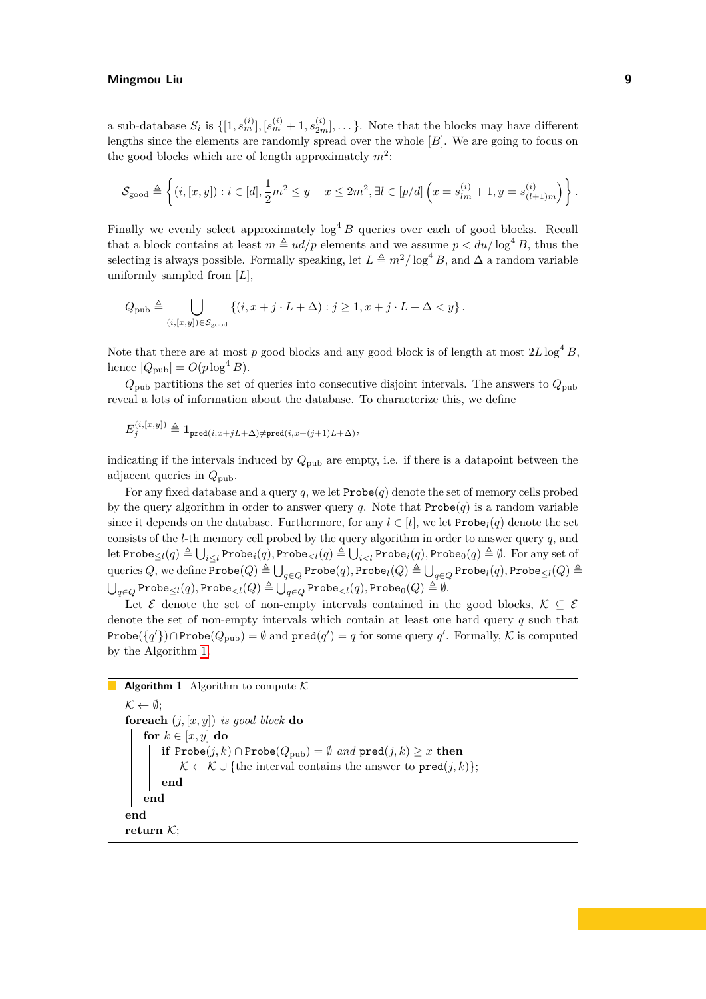a sub-database  $S_i$  is  $\{[1, s_m^{(i)}], [s_m^{(i)} + 1, s_{2m}^{(i)}], \dots\}$ . Note that the blocks may have different lengths since the elements are randomly spread over the whole [*B*]. We are going to focus on the good blocks which are of length approximately  $m^2$ :

$$
\mathcal{S}_{\text{good}} \triangleq \left\{ (i, [x, y]) : i \in [d], \frac{1}{2}m^2 \leq y - x \leq 2m^2, \exists l \in [p/d] \left( x = s_{lm}^{(i)} + 1, y = s_{(l+1)m}^{(i)} \right) \right\}.
$$

Finally we evenly select approximately  $\log^4 B$  queries over each of good blocks. Recall that a block contains at least  $m \triangleq ud/p$  elements and we assume  $p < du/\log^4 B$ , thus the selecting is always possible. Formally speaking, let  $L \triangleq m^2/\log^4 B$ , and  $\Delta$  a random variable uniformly sampled from [*L*],

$$
Q_{\text{pub}} \triangleq \bigcup_{(i,[x,y]) \in \mathcal{S}_{\text{good}}} \left\{ (i, x+j \cdot L + \Delta) : j \geq 1, x+j \cdot L + \Delta < y \right\}.
$$

Note that there are at most p good blocks and any good block is of length at most  $2L\log^4 B$ , hence  $|Q_{\text{pub}}| = O(p \log^4 B)$ .

 $Q_{\text{pub}}$  partitions the set of queries into consecutive disjoint intervals. The answers to  $Q_{\text{pub}}$ reveal a lots of information about the database. To characterize this, we define

$$
E_j^{(i,[x,y])} \triangleq \mathbf{1}_{\texttt{pred}(i,x+jL+\Delta) \neq \texttt{pred}(i,x+(j+1)L+\Delta)},
$$

indicating if the intervals induced by  $Q_{\text{pub}}$  are empty, i.e. if there is a datapoint between the adjacent queries in *Q*pub.

For any fixed database and a query *q*, we let Probe(*q*) denote the set of memory cells probed by the query algorithm in order to answer query  $q$ . Note that  $\text{Probe}(q)$  is a random variable since it depends on the database. Furthermore, for any  $l \in [t]$ , we let  $\text{Probe}_{l}(q)$  denote the set consists of the *l*-th memory cell probed by the query algorithm in order to answer query *q*, and  $\mathrm{let\ Probe}_{\leq l}(q) \triangleq \bigcup_{i\leq l} \mathrm{Probe}_i(q), \mathrm{Probe}_{$  $\bigcup_{q\in Q} \mathtt{Probe}_l(Q) \triangleq \bigcup_{q\in Q} \mathtt{Probe}_l(q), \mathtt{Probe}_l(Q) \triangleq \bigcup_{q\in Q} \mathtt{Probe}_l(q), \mathtt{Probe}_{\leq l}(Q) \triangleq$  $\bigcup_{q \in Q} \mathsf{Probe}_{\leq l}(q), \mathsf{Probe}_{< l}(Q) \triangleq \bigcup_{q \in Q} \mathsf{Probe}_{< l}(q), \mathsf{Probe}_0(Q) \triangleq \emptyset.$ 

Let  $\mathcal E$  denote the set of non-empty intervals contained in the good blocks,  $\mathcal K \subseteq \mathcal E$ denote the set of non-empty intervals which contain at least one hard query *q* such that Probe $({q'}_) \cap$ Probe $(Q_{\text{pub}}) = ∅$  and  $\text{pred}(q') = q$  for some query  $q'$ . Formally,  $K$  is computed by the Algorithm [1.](#page-8-0)

```
Algorithm 1 Algorithm to compute K\mathcal{K} \leftarrow \emptyset:
foreach (j, [x, y]) is good block do
    for k \in [x, y] do
        if Probe(j, k) \capProbe(Q_{pub}) = \emptyset and pred(j, k) \geq x then
         K ← K ∪ {the interval contains the answer to pred(j, k)};
        end
    end
end
```
**return** K;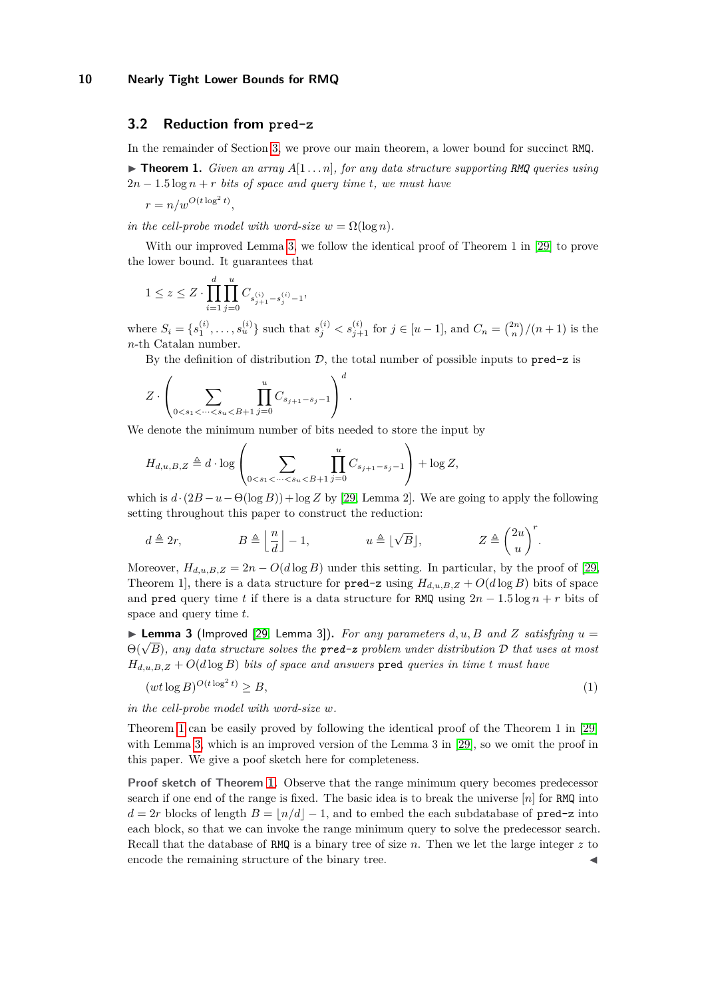### <span id="page-9-0"></span>**3.2 Reduction from pred-z**

In the remainder of Section [3,](#page-7-0) we prove our main theorem, a lower bound for succinct RMQ.

 $\triangleright$  **Theorem 1.** *Given an array*  $A[1 \dots n]$ *, for any data structure supporting RMQ queries using*  $2n - 1.5 \log n + r$  *bits of space and query time t, we must have* 

$$
r = n/w^{O(t \log^2 t)},
$$

*in the cell-probe model with word-size*  $w = \Omega(\log n)$ *.* 

With our improved Lemma [3,](#page-9-1) we follow the identical proof of Theorem 1 in [\[29\]](#page-15-9) to prove the lower bound. It guarantees that

$$
1 \le z \le Z \cdot \prod_{i=1}^d \prod_{j=0}^u C_{s_{j+1}^{(i)} - s_j^{(i)} - 1},
$$

where  $S_i = \{s_1^{(i)}, \ldots, s_u^{(i)}\}$  such that  $s_j^{(i)} < s_{j+1}^{(i)}$  for  $j \in [u-1]$ , and  $C_n = \binom{2n}{n}/(n+1)$  is the *n*-th Catalan number.

By the definition of distribution  $D$ , the total number of possible inputs to  $\text{pred-z}$  is

$$
Z\cdot \left(\sum_{0
$$

We denote the minimum number of bits needed to store the input by

$$
H_{d,u,B,Z} \triangleq d \cdot \log \left( \sum_{0 < s_1 < \dots < s_u < B+1} \prod_{j=0}^u C_{s_{j+1}-s_j-1} \right) + \log Z,
$$

which is  $d \cdot (2B - u - \Theta(\log B)) + \log Z$  by [\[29,](#page-15-9) Lemma 2]. We are going to apply the following setting throughout this paper to construct the reduction:

$$
d \triangleq 2r
$$
,  $B \triangleq \left\lfloor \frac{n}{d} \right\rfloor - 1$ ,  $u \triangleq \lfloor \sqrt{B} \rfloor$ ,  $Z \triangleq \left( \frac{2u}{u} \right)^r$ .

Moreover,  $H_{d,u,B,Z} = 2n - O(d \log B)$  under this setting. In particular, by the proof of [\[29,](#page-15-9) Theorem 1, there is a data structure for  $\text{pred-z}$  using  $H_{d,u,B,Z} + O(d \log B)$  bits of space and pred query time *t* if there is a data structure for RMQ using  $2n - 1.5 \log n + r$  bits of space and query time *t*.

<span id="page-9-1"></span> $\triangleright$  **Lemma 3** (Improved [\[29,](#page-15-9) Lemma 3]). *For any parameters d, u, B and Z satisfying*  $u =$ **Example 3** (improved [29, Lemma 5]). For any parameters  $a, u, b$  and  $\angle$  satisfying  $u = \Theta(\sqrt{B})$ , any data structure solves the **pred-z** problem under distribution D that uses at most  $H_{d,u,B,Z} + O(d \log B)$  *bits of space and answers* pred *queries in time t must have* 

<span id="page-9-2"></span>
$$
(wt \log B)^{O(t \log^2 t)} \ge B,\tag{1}
$$

*in the cell-probe model with word-size w.*

Theorem [1](#page-1-0) can be easily proved by following the identical proof of the Theorem 1 in [\[29\]](#page-15-9) with Lemma [3,](#page-9-1) which is an improved version of the Lemma 3 in [\[29\]](#page-15-9), so we omit the proof in this paper. We give a poof sketch here for completeness.

**Proof sketch of Theorem [1.](#page-1-0)** Observe that the range minimum query becomes predecessor search if one end of the range is fixed. The basic idea is to break the universe [*n*] for RMQ into  $d = 2r$  blocks of length  $B = |n/d| - 1$ , and to embed the each subdatabase of pred-z into each block, so that we can invoke the range minimum query to solve the predecessor search. Recall that the database of RMQ is a binary tree of size *n*. Then we let the large integer *z* to encode the remaining structure of the binary tree.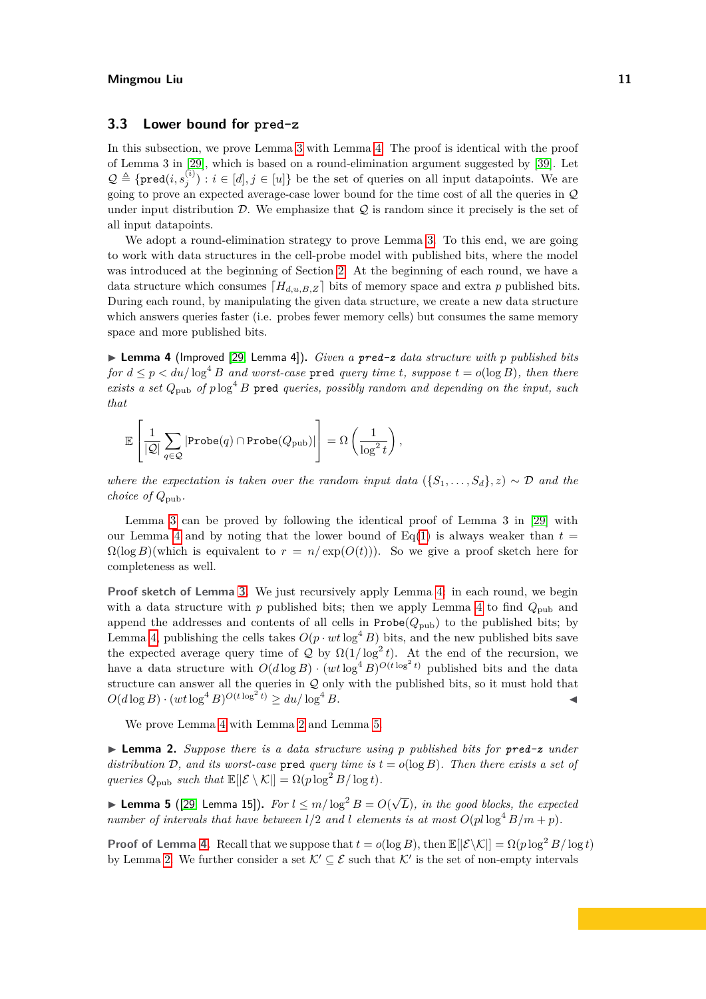## <span id="page-10-0"></span>**3.3 Lower bound for pred-z**

In this subsection, we prove Lemma [3](#page-9-1) with Lemma [4.](#page-10-1) The proof is identical with the proof of Lemma 3 in [\[29\]](#page-15-9), which is based on a round-elimination argument suggested by [\[39\]](#page-16-9). Let  $\mathcal{Q} \triangleq \{ \text{pred}(i, s_j^{(i)}) : i \in [d], j \in [u] \}$  be the set of queries on all input datapoints. We are going to prove an expected average-case lower bound for the time cost of all the queries in Q under input distribution  $D$ . We emphasize that  $Q$  is random since it precisely is the set of all input datapoints.

We adopt a round-elimination strategy to prove Lemma [3.](#page-9-1) To this end, we are going to work with data structures in the cell-probe model with published bits, where the model was introduced at the beginning of Section [2.](#page-3-0) At the beginning of each round, we have a data structure which consumes  $[H_{d,u,B,Z}]$  bits of memory space and extra p published bits. During each round, by manipulating the given data structure, we create a new data structure which answers queries faster (i.e. probes fewer memory cells) but consumes the same memory space and more published bits.

<span id="page-10-1"></span>▶ **Lemma 4** (Improved [\[29,](#page-15-9) Lemma 4])**.** *Given a pred-z data structure with p published bits for*  $d \leq p \leq du/\log^4 B$  *and worst-case* pred *query time t, suppose*  $t = o(\log B)$ *, then there exists a set*  $Q_{\text{pub}}$  *of*  $p \log^4 B$  pred *queries, possibly random and depending on the input, such that*

$$
\mathbb{E}\left[\frac{1}{|\mathcal{Q}|}\sum_{q\in\mathcal{Q}}|\text{Probe}(q)\cap\text{Probe}(Q_{\text{pub}})|\right] = \Omega\left(\frac{1}{\log^2 t}\right),
$$

*where the expectation is taken over the random input data*  $(\{S_1, \ldots, S_d\}, z) \sim \mathcal{D}$  *and the choice of Q*pub*.*

Lemma [3](#page-9-1) can be proved by following the identical proof of Lemma 3 in [\[29\]](#page-15-9) with our Lemma [4](#page-10-1) and by noting that the lower bound of  $Eq(1)$  $Eq(1)$  is always weaker than  $t =$  $\Omega(\log B)($  which is equivalent to  $r = n/\exp(O(t))$ . So we give a proof sketch here for completeness as well.

**Proof sketch of Lemma [3.](#page-9-1)** We just recursively apply Lemma [4:](#page-10-1) in each round, we begin with a data structure with  $p$  published bits; then we apply Lemma [4](#page-10-1) to find  $Q_{\text{pub}}$  and append the addresses and contents of all cells in  $\text{Probe}(Q_{\text{pub}})$  to the published bits; by Lemma [4,](#page-10-1) publishing the cells takes  $O(p \cdot wt \log^4 B)$  bits, and the new published bits save the expected average query time of  $Q$  by  $\Omega(1/\log^2 t)$ . At the end of the recursion, we have a data structure with  $O(d \log B) \cdot (wt \log^4 B)^{O(t \log^2 t)}$  published bits and the data structure can answer all the queries in  $Q$  only with the published bits, so it must hold that  $O(d \log B) \cdot (wt \log^4 B)^{O(t \log^2 t)} \ge du / \log^4 B.$ 

We prove Lemma [4](#page-10-1) with Lemma [2](#page-7-2) and Lemma [5.](#page-10-2)

▶ **Lemma 2.** *Suppose there is a data structure using p published bits for pred-z under distribution*  $D$ , and its worst-case pred *query time is*  $t = o(\log B)$ . Then there exists a set of *queries*  $Q_{\text{pub}}$  *such that*  $\mathbb{E}[|\mathcal{E} \setminus \mathcal{K}|] = \Omega(p \log^2 B / \log t)$ .

<span id="page-10-2"></span>▶ Lemma 5 ([\[29,](#page-15-9) Lemma 15]).  $For \, l \leq m/\log^2 B = O(\sqrt{k})$ *L*)*, in the good blocks, the expected number of intervals that have between*  $l/2$  *and l elements is at most*  $O$ ( $pl \log^4 B/m + p$ ).

**Proof of Lemma [4.](#page-10-1)** Recall that we suppose that  $t = o(\log B)$ , then  $\mathbb{E}[\mathcal{E}\setminus\mathcal{K}] = \Omega(p\log^2 B/\log t)$ by Lemma [2.](#page-7-2) We further consider a set  $K' \subseteq \mathcal{E}$  such that  $K'$  is the set of non-empty intervals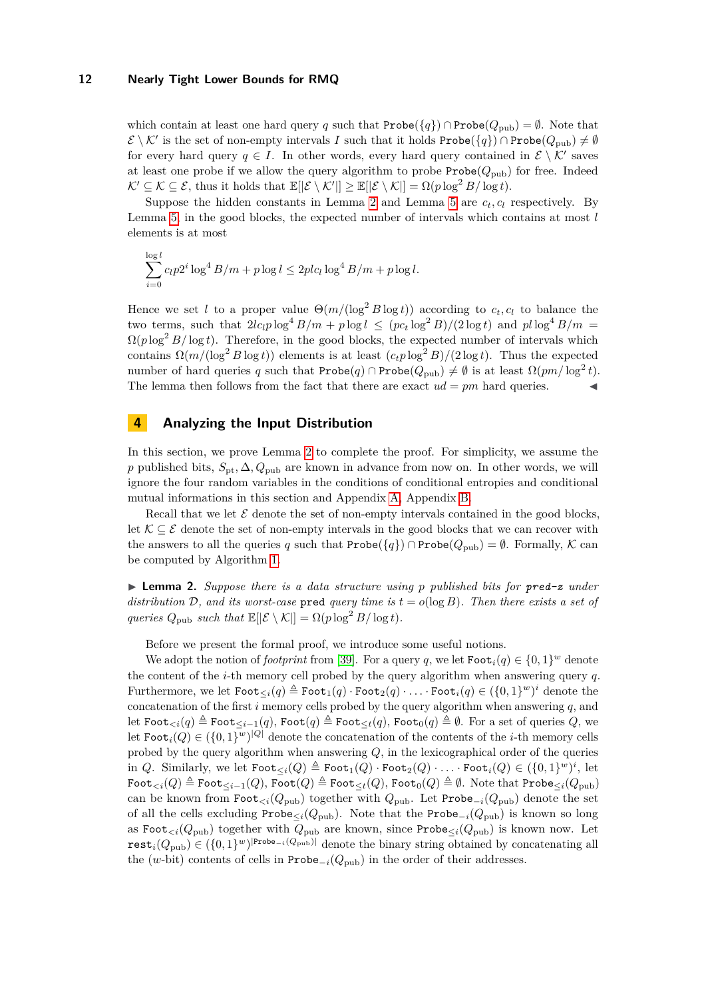which contain at least one hard query *q* such that  $\text{Probe}(\lbrace q \rbrace) \cap \text{Probe}(Q_{\text{pub}}) = \emptyset$ . Note that  $\mathcal{E} \setminus \mathcal{K}'$  is the set of non-empty intervals *I* such that it holds Probe $(\{q\}) \cap \text{Probe}(Q_{\text{pub}}) \neq \emptyset$ for every hard query  $q \in I$ . In other words, every hard query contained in  $\mathcal{E} \setminus \mathcal{K}'$  saves at least one probe if we allow the query algorithm to probe  $\text{Probe}(Q_{\text{pub}})$  for free. Indeed  $\mathcal{K}' \subseteq \mathcal{K} \subseteq \mathcal{E}$ , thus it holds that  $\mathbb{E}[|\mathcal{E} \setminus \mathcal{K}'|] \geq \mathbb{E}[|\mathcal{E} \setminus \mathcal{K}|] = \Omega(p \log^2 B / \log t)$ .

Suppose the hidden constants in Lemma [2](#page-7-2) and Lemma [5](#page-10-2) are  $c_t$ ,  $c_l$  respectively. By Lemma [5,](#page-10-2) in the good blocks, the expected number of intervals which contains at most *l* elements is at most

$$
\sum_{i=0}^{\log l} c_l p 2^i \log^4 B/m + p \log l \le 2plc_l \log^4 B/m + p \log l.
$$

Hence we set *l* to a proper value  $\Theta(m/(\log^2 B \log t))$  according to  $c_t, c_l$  to balance the two terms, such that  $2lc_l p \log^4 B/m + p \log l \leq (pc_t \log^2 B)/(2 \log t)$  and  $pl \log^4 B/m =$  $\Omega(p \log^2 B / \log t)$ . Therefore, in the good blocks, the expected number of intervals which contains  $\Omega(m/(\log^2 B \log t))$  elements is at least  $(c_t p \log^2 B)/(2 \log t)$ . Thus the expected number of hard queries *q* such that Probe(*q*) ∩ Probe( $Q_{\text{pub}}$ )  $\neq \emptyset$  is at least  $\Omega(pm/\log^2 t)$ . The lemma then follows from the fact that there are exact  $ud = pm$  hard queries.

## <span id="page-11-0"></span>**4 Analyzing the Input Distribution**

In this section, we prove Lemma [2](#page-7-2) to complete the proof. For simplicity, we assume the *p* published bits,  $S_{\text{pt}}$ ,  $\Delta$ ,  $Q_{\text{pub}}$  are known in advance from now on. In other words, we will ignore the four random variables in the conditions of conditional entropies and conditional mutual informations in this section and Appendix [A,](#page-17-6) Appendix [B.](#page-18-0)

Recall that we let  $\mathcal E$  denote the set of non-empty intervals contained in the good blocks, let  $\mathcal{K} \subseteq \mathcal{E}$  denote the set of non-empty intervals in the good blocks that we can recover with the answers to all the queries *q* such that  $\text{Prob}(\lbrace q \rbrace) \cap \text{Prob}(Q_{\text{pub}}) = \emptyset$ . Formally, K can be computed by Algorithm [1.](#page-8-0)

▶ **Lemma 2.** *Suppose there is a data structure using p published bits for pred-z under distribution* D, and its worst-case pred *query time is*  $t = o(\log B)$ . Then there exists a set of *queries*  $Q_{\text{pub}}$  *such that*  $\mathbb{E}[|\mathcal{E} \setminus \mathcal{K}|] = \Omega(p \log^2 B / \log t)$ .

Before we present the formal proof, we introduce some useful notions.

We adopt the notion of *footprint* from [\[39\]](#page-16-9). For a query *q*, we let  $\text{Foot}_i(q) \in \{0,1\}^w$  denote the content of the *i*-th memory cell probed by the query algorithm when answering query *q*.  $\text{Furthermore, we let } \text{\tt Foot}_{\le i}(q) \triangleq \text{\tt Foot}_1(q) \cdot \text{\tt Foot}_2(q) \cdot \ldots \cdot \text{\tt Foot}_i(q) \in (\{0,1\}^w)^i \text{ denote the }$ concatenation of the first *i* memory cells probed by the query algorithm when answering *q*, and let Foot<sub> $\lt i$ </sub>(*q*)  $\triangleq$  Foot<sub> $\lt i-1$ </sub>(*q*), Foot(*q*)  $\triangleq$  Foot<sub> $\lt t$ </sub>(*q*), Foot<sub>0</sub>(*q*)  $\triangleq$  Ø. For a set of queries *Q*, we let  $\texttt{foot}_i(Q) \in (\{0,1\}^w)^{|Q|}$  denote the concatenation of the contents of the *i*-th memory cells probed by the query algorithm when answering *Q*, in the lexicographical order of the queries in *Q*. Similarly, we let  $\text{\tt Foot}_{\le i}(Q) \triangleq \text{\tt Foot}_1(Q) \cdot \text{\tt Foot}_2(Q) \cdot \ldots \cdot \text{\tt Foot}_i(Q) \in (\{0,1\}^w)^i$ , let  $\text{Root}_{\leq i}(Q) \triangleq \text{Root}_{\leq i-1}(Q)$ ,  $\text{Root}(Q) \triangleq \text{Root}_{\leq t}(Q)$ ,  $\text{Root}_0(Q) \triangleq \emptyset$ . Note that  $\text{Probe}_{\leq i}(Q_{\text{pub}})$ can be known from  $\text{foot}_{\leq i}(Q_{\text{pub}})$  together with  $Q_{\text{pub}}$ . Let  $\text{Probe}_{-i}(Q_{\text{pub}})$  denote the set of all the cells excluding  $\text{Probe}_{\leq i}(Q_{\text{pub}})$ . Note that the  $\text{Probe}_{-i}(Q_{\text{pub}})$  is known so long as Foot<sub> $\langle i(Q_{\text{pub}})$  together with  $Q_{\text{pub}}$  are known, since Probe $\langle i(Q_{\text{pub}})$  is known now. Let</sub>  $\texttt{rest}_i(Q_{\text{pub}}) \in (\{0,1\}^w)^{|\texttt{Probe}-i(Q_{\text{pub}})|}$  denote the binary string obtained by concatenating all the (*w*-bit) contents of cells in Probe<sub>−*i*</sub>( $Q_{\text{pub}}$ ) in the order of their addresses.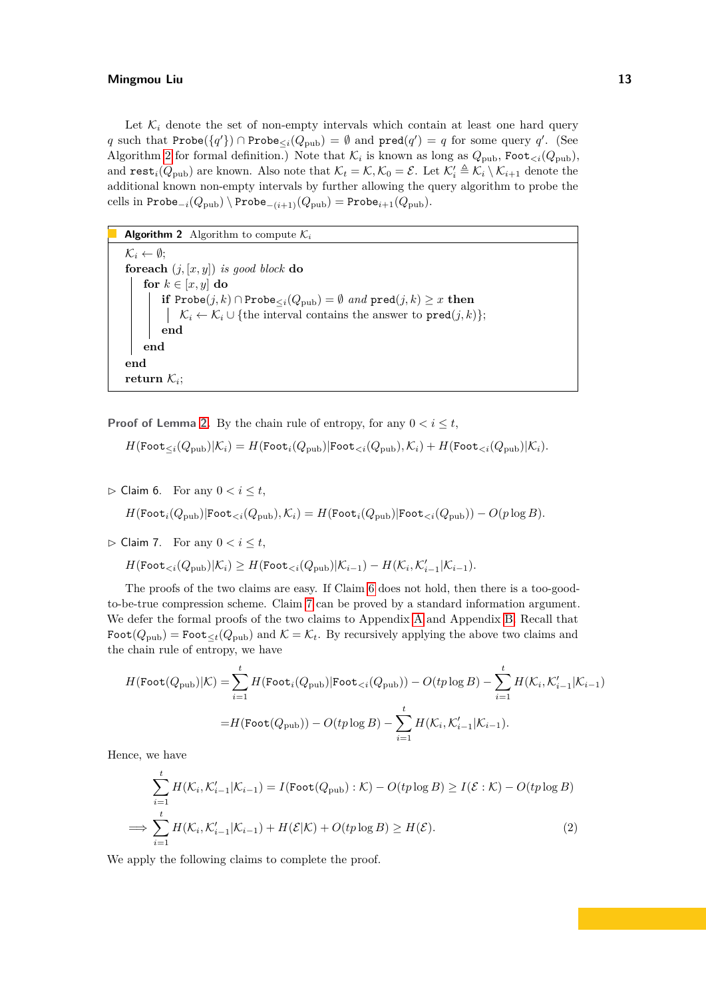Let  $\mathcal{K}_i$  denote the set of non-empty intervals which contain at least one hard query *q* such that Probe({*q*'}) ∩ Probe<sub>≤*i*</sub>( $Q_{pub}$ ) = ∅ and pred(*q'*) = *q* for some query *q'*. (See Algorithm [2](#page-12-0) for formal definition.) Note that  $\mathcal{K}_i$  is known as long as  $Q_{\text{pub}}$ , Foot<sub> $\lt i$ </sub>( $Q_{\text{pub}}$ ), and  $\texttt{rest}_i(Q_{\text{pub}})$  are known. Also note that  $\mathcal{K}_t = \mathcal{K}, \mathcal{K}_0 = \mathcal{E}$ . Let  $\mathcal{K}'_i \triangleq \mathcal{K}_i \setminus \mathcal{K}_{i+1}$  denote the additional known non-empty intervals by further allowing the query algorithm to probe the cells in Probe<sub>−*i*</sub>( $Q_{\text{pub}}$ ) \ Probe<sub>−(*i*+1)</sub>( $Q_{\text{pub}}$ ) = Probe<sub>*i*+1</sub>( $Q_{\text{pub}}$ ).

<span id="page-12-0"></span>**Algorithm 2** Algorithm to compute  $\mathcal{K}_i$  $\mathcal{K}_i \leftarrow \emptyset$ ; **foreach**  $(i, [x, y])$  *is good block* **do for**  $k \in [x, y]$  **do if** Probe $(j, k) \cap$ Probe $\leq_i(Q_{\text{pub}}) = \emptyset$  *and*  $\text{pred}(j, k) \geq x$  **then**  $\left| \mathcal{K}_i \leftarrow \mathcal{K}_i \cup \{\text{the interval contains the answer to } \text{pred}(j,k)\};\right.$ **end end end**  ${\rm return} \; \mathcal{K}_i;$ 

**Proof of Lemma [2.](#page-7-2)** By the chain rule of entropy, for any  $0 < i < t$ ,

$$
H(\text{Foot}_{\leq i}(Q_{\text{pub}})|\mathcal{K}_i) = H(\text{Foot}_{i}(Q_{\text{pub}})|\text{Foot}_{\leq i}(Q_{\text{pub}}),\mathcal{K}_i) + H(\text{Foot}_{\leq i}(Q_{\text{pub}})|\mathcal{K}_i).
$$

<span id="page-12-1"></span> $\triangleright$  Claim 6. For any  $0 < i \leq t$ ,  $H(\text{Foot}_{i}(Q_{\text{pub}})|\text{Foot}_{\leq i}(Q_{\text{pub}}),\mathcal{K}_{i}) = H(\text{Foot}_{i}(Q_{\text{pub}})|\text{Foot}_{\leq i}(Q_{\text{pub}})) - O(p \log B).$ 

<span id="page-12-2"></span> $\triangleright$  Claim 7. For any  $0 < i \leq t$ ,

$$
H(\text{Foot}_{\leq i}(Q_{\text{pub}})|\mathcal{K}_i) \geq H(\text{Foot}_{\leq i}(Q_{\text{pub}})|\mathcal{K}_{i-1}) - H(\mathcal{K}_i, \mathcal{K}'_{i-1}|\mathcal{K}_{i-1}).
$$

The proofs of the two claims are easy. If Claim [6](#page-12-1) does not hold, then there is a too-goodto-be-true compression scheme. Claim [7](#page-12-2) can be proved by a standard information argument. We defer the formal proofs of the two claims to Appendix [A](#page-17-6) and Appendix [B.](#page-18-0) Recall that  $\text{root}(Q_{\text{pub}}) = \text{root}_{\leq t}(Q_{\text{pub}})$  and  $\mathcal{K} = \mathcal{K}_t$ . By recursively applying the above two claims and the chain rule of entropy, we have

$$
H(\text{Foot}(Q_{\text{pub}})|\mathcal{K}) = \sum_{i=1}^{t} H(\text{Foot}_{i}(Q_{\text{pub}})|\text{Foot}_{< i}(Q_{\text{pub}})) - O(tp \log B) - \sum_{i=1}^{t} H(\mathcal{K}_{i}, \mathcal{K}'_{i-1}|\mathcal{K}_{i-1})
$$

$$
= H(\text{Foot}(Q_{\text{pub}})) - O(tp \log B) - \sum_{i=1}^{t} H(\mathcal{K}_{i}, \mathcal{K}'_{i-1}|\mathcal{K}_{i-1}).
$$

Hence, we have

<span id="page-12-3"></span>
$$
\sum_{i=1}^{t} H(\mathcal{K}_i, \mathcal{K}'_{i-1} | \mathcal{K}_{i-1}) = I(\text{Foot}(Q_{\text{pub}}) : \mathcal{K}) - O(tp \log B) \ge I(\mathcal{E} : \mathcal{K}) - O(tp \log B)
$$
  

$$
\implies \sum_{i=1}^{t} H(\mathcal{K}_i, \mathcal{K}'_{i-1} | \mathcal{K}_{i-1}) + H(\mathcal{E} | \mathcal{K}) + O(tp \log B) \ge H(\mathcal{E}).
$$
 (2)

<span id="page-12-4"></span>We apply the following claims to complete the proof.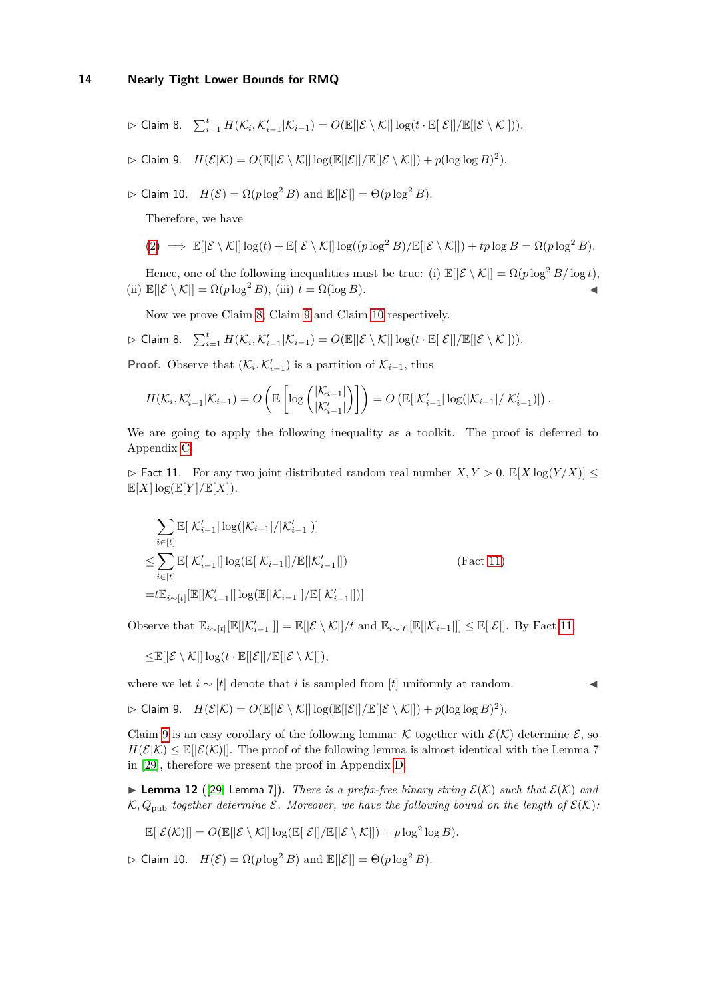$$
\triangleright \text{ Claim 8.} \quad \textstyle\sum_{i=1}^t H(\mathcal{K}_i, \mathcal{K}'_{i-1} | \mathcal{K}_{i-1}) = O(\mathbb{E}[|\mathcal{E} \setminus \mathcal{K}|] \log(t \cdot \mathbb{E}[|\mathcal{E}|] / \mathbb{E}[|\mathcal{E} \setminus \mathcal{K}|])).
$$

<span id="page-13-0"></span> $\rhd$  Claim 9.  $H(\mathcal{E}|\mathcal{K}) = O(\mathbb{E}[|\mathcal{E} \setminus \mathcal{K}|] \log(\mathbb{E}[|\mathcal{E}|]/\mathbb{E}[|\mathcal{E} \setminus \mathcal{K}|]) + p(\log \log B)^2).$ 

<span id="page-13-1"></span> $\triangleright$  Claim 10.  $H(\mathcal{E}) = \Omega(p \log^2 B)$  and  $\mathbb{E}[|\mathcal{E}|] = \Theta(p \log^2 B)$ .

Therefore, we have

$$
(2) \implies \mathbb{E}[|\mathcal{E} \setminus \mathcal{K}|] \log(t) + \mathbb{E}[|\mathcal{E} \setminus \mathcal{K}|] \log((p \log^2 B) / \mathbb{E}[|\mathcal{E} \setminus \mathcal{K}|]) + tp \log B = \Omega(p \log^2 B).
$$

Hence, one of the following inequalities must be true: (i)  $\mathbb{E}[|\mathcal{E} \setminus \mathcal{K}|] = \Omega(p \log^2 B / \log t)$ , (ii)  $\mathbb{E}[|\mathcal{E} \setminus \mathcal{K}|] = \Omega(p \log^2 B),$  (iii)  $t = \Omega(\log B).$ 

Now we prove Claim [8,](#page-12-4) Claim [9](#page-13-0) and Claim [10](#page-13-1) respectively.

$$
\triangleright \text{ Claim 8.} \quad \sum_{i=1}^t H(\mathcal{K}_i, \mathcal{K}'_{i-1} | \mathcal{K}_{i-1}) = O(\mathbb{E}[|\mathcal{E} \setminus \mathcal{K}|] \log(t \cdot \mathbb{E}[|\mathcal{E}|] / \mathbb{E}[|\mathcal{E} \setminus \mathcal{K}|])).
$$

**Proof.** Observe that  $(\mathcal{K}_i, \mathcal{K}'_{i-1})$  is a partition of  $\mathcal{K}_{i-1}$ , thus

$$
H(\mathcal{K}_i, \mathcal{K}'_{i-1} | \mathcal{K}_{i-1}) = O\left(\mathbb{E}\left[\log \binom{|\mathcal{K}_{i-1}|}{|\mathcal{K}'_{i-1}|}\right]\right) = O\left(\mathbb{E}[\mathcal{K}'_{i-1} | \log(|\mathcal{K}_{i-1}|/|\mathcal{K}'_{i-1})]\right).
$$

We are going to apply the following inequality as a toolkit. The proof is deferred to Appendix [C.](#page-18-1)

<span id="page-13-2"></span> $\triangleright$  Fact 11. For any two joint distributed random real number  $X, Y > 0$ ,  $\mathbb{E}[X \log(Y/X)] \leq$  $\mathbb{E}[X] \log(\mathbb{E}[Y]/\mathbb{E}[X]).$ 

$$
\sum_{i \in [t]} \mathbb{E}[|\mathcal{K}'_{i-1}| \log(|\mathcal{K}_{i-1}|/|\mathcal{K}'_{i-1}|)]
$$
\n
$$
\leq \sum_{i \in [t]} \mathbb{E}[|\mathcal{K}'_{i-1}|] \log(\mathbb{E}[|\mathcal{K}_{i-1}|] / \mathbb{E}[|\mathcal{K}'_{i-1}|])
$$
\n(Fact 11)\n
$$
= t \mathbb{E}_{i \sim [t]}[\mathbb{E}[|\mathcal{K}'_{i-1}|] \log(\mathbb{E}[|\mathcal{K}_{i-1}|] / \mathbb{E}[|\mathcal{K}'_{i-1}|])]
$$

Observe that  $\mathbb{E}_{i \sim [t]}[\mathbb{E}[|\mathcal{K}'_{i-1}|]] = \mathbb{E}[|\mathcal{E} \setminus \mathcal{K}|]/t$  and  $\mathbb{E}_{i \sim [t]}[\mathbb{E}[|\mathcal{K}_{i-1}|]] \leq \mathbb{E}[|\mathcal{E}|]$ . By Fact [11,](#page-13-2)

 $\leq$ E[ $|\mathcal{E} \setminus \mathcal{K}| \log(t \cdot E[|\mathcal{E}|]/E[|\mathcal{E} \setminus \mathcal{K}|]),$ 

where we let  $i \sim [t]$  denote that *i* is sampled from [*t*] uniformly at random.

$$
\triangleright \text{ Claim 9.} \quad H(\mathcal{E}|\mathcal{K}) = O(\mathbb{E}[|\mathcal{E} \setminus \mathcal{K}|] \log(\mathbb{E}[|\mathcal{E}|]/\mathbb{E}[|\mathcal{E} \setminus \mathcal{K}|]) + p(\log \log B)^2).
$$

Claim [9](#page-13-0) is an easy corollary of the following lemma: K together with  $\mathcal{E}(\mathcal{K})$  determine  $\mathcal{E}$ , so  $H(\mathcal{E}|\mathcal{K}) \leq E[|\mathcal{E}(\mathcal{K})|]$ . The proof of the following lemma is almost identical with the Lemma 7 in [\[29\]](#page-15-9), therefore we present the proof in Appendix [D.](#page-18-2)

<span id="page-13-3"></span> $\blacktriangleright$  **Lemma 12** ([\[29,](#page-15-9) Lemma 7]). *There is a prefix-free binary string*  $\mathcal{E}(\mathcal{K})$  *such that*  $\mathcal{E}(\mathcal{K})$  *and*  $K, Q_{\text{pub}}$  *together determine*  $\mathcal{E}$ *. Moreover, we have the following bound on the length of*  $\mathcal{E}(K)$ *:* 

$$
\mathbb{E}[|\mathcal{E}(\mathcal{K})|] = O(\mathbb{E}[|\mathcal{E} \setminus \mathcal{K}|] \log(\mathbb{E}[|\mathcal{E}|/\mathbb{E}[|\mathcal{E} \setminus \mathcal{K}|]) + p \log^2 \log B).
$$

 $\triangleright$  Claim 10.  $H(\mathcal{E}) = \Omega(p \log^2 B)$  and  $\mathbb{E}[|\mathcal{E}|] = \Theta(p \log^2 B)$ .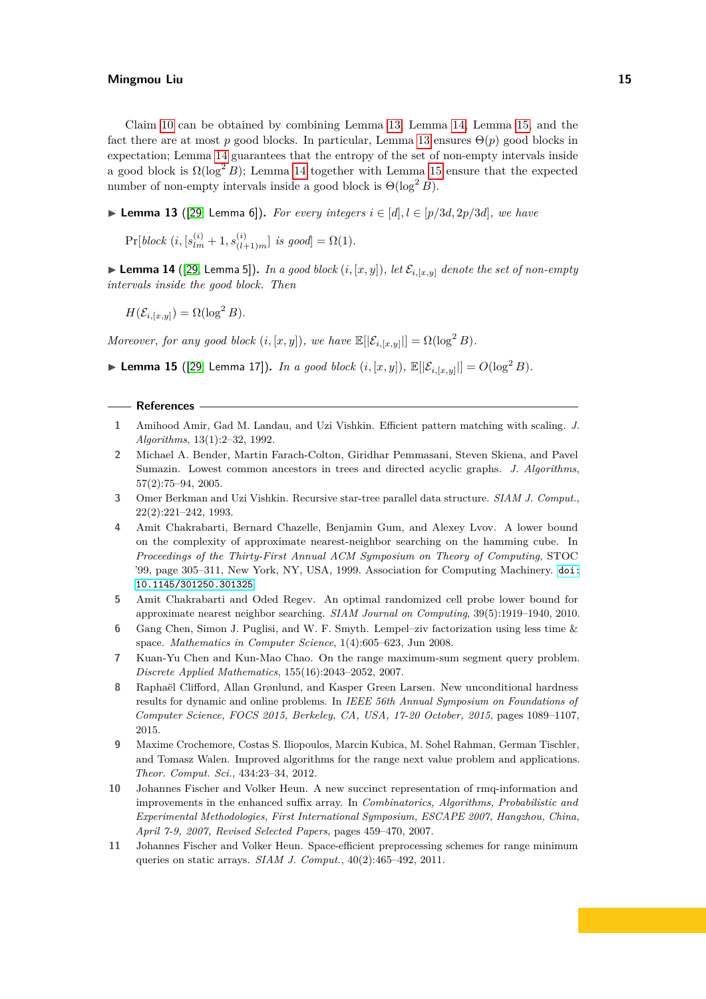Claim [10](#page-13-1) can be obtained by combining Lemma [13,](#page-14-11) Lemma [14,](#page-14-12) Lemma [15,](#page-14-13) and the fact there are at most *p* good blocks. In particular, Lemma [13](#page-14-11) ensures  $\Theta(p)$  good blocks in expectation; Lemma [14](#page-14-12) guarantees that the entropy of the set of non-empty intervals inside a good block is  $\Omega(\log^2 B)$ ; Lemma [14](#page-14-12) together with Lemma [15](#page-14-13) ensure that the expected number of non-empty intervals inside a good block is  $\Theta(\log^2 B)$ .

<span id="page-14-11"></span>▶ **Lemma 13** ([\[29,](#page-15-9) Lemma 6]). *For every integers*  $i \in [d], l \in [p/3d, 2p/3d]$ , we have

 $Pr[block (i, [s_{lm}^{(i)} + 1, s_{(l+1)m}^{(i)}] \text{ is good}] = \Omega(1).$ 

<span id="page-14-12"></span> $\blacktriangleright$  **Lemma 14** ([\[29,](#page-15-9) Lemma 5]). *In a good block*  $(i, [x, y])$ *, let*  $\mathcal{E}_{i, [x, y]}$  *denote the set of non-empty intervals inside the good block. Then*

 $H(\mathcal{E}_{i,[x,y]}) = \Omega(\log^2 B).$ 

*Moreover, for any good block*  $(i, [x, y])$ *, we have*  $\mathbb{E}[|\mathcal{E}_{i, [x, y]}|] = \Omega(\log^2 B)$ *.* 

<span id="page-14-13"></span>▶ **Lemma 15** ([\[29,](#page-15-9) Lemma 17]). *In a good block*  $(i, [x, y])$ ,  $\mathbb{E}[|\mathcal{E}_{i, [x, y]}|] = O(\log^2 B)$ .

#### **References**

- <span id="page-14-2"></span>**1** Amihood Amir, Gad M. Landau, and Uzi Vishkin. Efficient pattern matching with scaling. *J. Algorithms*, 13(1):2–32, 1992.
- <span id="page-14-1"></span>**2** Michael A. Bender, Martin Farach-Colton, Giridhar Pemmasani, Steven Skiena, and Pavel Sumazin. Lowest common ancestors in trees and directed acyclic graphs. *J. Algorithms*, 57(2):75–94, 2005.
- <span id="page-14-0"></span>**3** Omer Berkman and Uzi Vishkin. Recursive star-tree parallel data structure. *SIAM J. Comput.*, 22(2):221–242, 1993.
- <span id="page-14-9"></span>**4** Amit Chakrabarti, Bernard Chazelle, Benjamin Gum, and Alexey Lvov. A lower bound on the complexity of approximate nearest-neighbor searching on the hamming cube. In *Proceedings of the Thirty-First Annual ACM Symposium on Theory of Computing*, STOC '99, page 305–311, New York, NY, USA, 1999. Association for Computing Machinery. [doi:](https://doi.org/10.1145/301250.301325) [10.1145/301250.301325](https://doi.org/10.1145/301250.301325).
- <span id="page-14-10"></span>**5** Amit Chakrabarti and Oded Regev. An optimal randomized cell probe lower bound for approximate nearest neighbor searching. *SIAM Journal on Computing*, 39(5):1919–1940, 2010.
- <span id="page-14-3"></span>**6** Gang Chen, Simon J. Puglisi, and W. F. Smyth. Lempel–ziv factorization using less time & space. *Mathematics in Computer Science*, 1(4):605–623, Jun 2008.
- <span id="page-14-5"></span>**7** Kuan-Yu Chen and Kun-Mao Chao. On the range maximum-sum segment query problem. *Discrete Applied Mathematics*, 155(16):2043–2052, 2007.
- <span id="page-14-8"></span>**8** Raphaël Clifford, Allan Grønlund, and Kasper Green Larsen. New unconditional hardness results for dynamic and online problems. In *IEEE 56th Annual Symposium on Foundations of Computer Science, FOCS 2015, Berkeley, CA, USA, 17-20 October, 2015*, pages 1089–1107, 2015.
- <span id="page-14-4"></span>**9** Maxime Crochemore, Costas S. Iliopoulos, Marcin Kubica, M. Sohel Rahman, German Tischler, and Tomasz Walen. Improved algorithms for the range next value problem and applications. *Theor. Comput. Sci.*, 434:23–34, 2012.
- <span id="page-14-6"></span>**10** Johannes Fischer and Volker Heun. A new succinct representation of rmq-information and improvements in the enhanced suffix array. In *Combinatorics, Algorithms, Probabilistic and Experimental Methodologies, First International Symposium, ESCAPE 2007, Hangzhou, China, April 7-9, 2007, Revised Selected Papers*, pages 459–470, 2007.
- <span id="page-14-7"></span>**11** Johannes Fischer and Volker Heun. Space-efficient preprocessing schemes for range minimum queries on static arrays. *SIAM J. Comput.*, 40(2):465–492, 2011.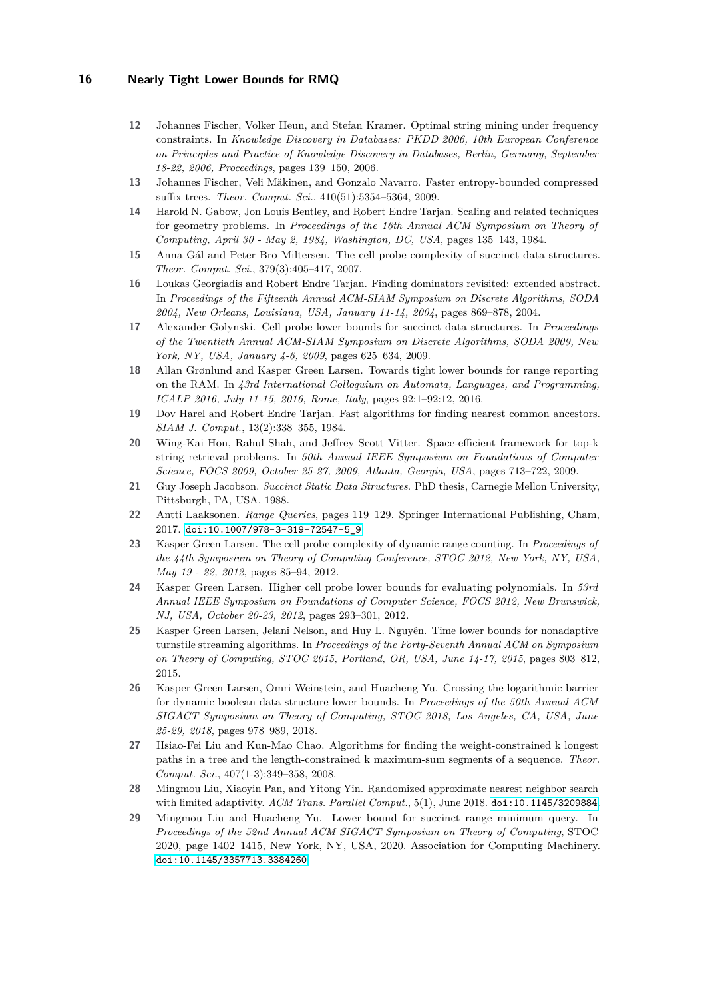- <span id="page-15-2"></span>**12** Johannes Fischer, Volker Heun, and Stefan Kramer. Optimal string mining under frequency constraints. In *Knowledge Discovery in Databases: PKDD 2006, 10th European Conference on Principles and Practice of Knowledge Discovery in Databases, Berlin, Germany, September 18-22, 2006, Proceedings*, pages 139–150, 2006.
- <span id="page-15-3"></span>**13** Johannes Fischer, Veli Mäkinen, and Gonzalo Navarro. Faster entropy-bounded compressed suffix trees. *Theor. Comput. Sci.*, 410(51):5354–5364, 2009.
- <span id="page-15-5"></span>**14** Harold N. Gabow, Jon Louis Bentley, and Robert Endre Tarjan. Scaling and related techniques for geometry problems. In *Proceedings of the 16th Annual ACM Symposium on Theory of Computing, April 30 - May 2, 1984, Washington, DC, USA*, pages 135–143, 1984.
- <span id="page-15-15"></span>**15** Anna Gál and Peter Bro Miltersen. The cell probe complexity of succinct data structures. *Theor. Comput. Sci.*, 379(3):405–417, 2007.
- <span id="page-15-0"></span>**16** Loukas Georgiadis and Robert Endre Tarjan. Finding dominators revisited: extended abstract. In *Proceedings of the Fifteenth Annual ACM-SIAM Symposium on Discrete Algorithms, SODA 2004, New Orleans, Louisiana, USA, January 11-14, 2004*, pages 869–878, 2004.
- <span id="page-15-17"></span>**17** Alexander Golynski. Cell probe lower bounds for succinct data structures. In *Proceedings of the Twentieth Annual ACM-SIAM Symposium on Discrete Algorithms, SODA 2009, New York, NY, USA, January 4-6, 2009*, pages 625–634, 2009.
- <span id="page-15-11"></span>**18** Allan Grønlund and Kasper Green Larsen. Towards tight lower bounds for range reporting on the RAM. In *43rd International Colloquium on Automata, Languages, and Programming, ICALP 2016, July 11-15, 2016, Rome, Italy*, pages 92:1–92:12, 2016.
- <span id="page-15-6"></span>**19** Dov Harel and Robert Endre Tarjan. Fast algorithms for finding nearest common ancestors. *SIAM J. Comput.*, 13(2):338–355, 1984.
- <span id="page-15-4"></span>**20** Wing-Kai Hon, Rahul Shah, and Jeffrey Scott Vitter. Space-efficient framework for top-k string retrieval problems. In *50th Annual IEEE Symposium on Foundations of Computer Science, FOCS 2009, October 25-27, 2009, Atlanta, Georgia, USA*, pages 713–722, 2009.
- <span id="page-15-7"></span>**21** Guy Joseph Jacobson. *Succinct Static Data Structures*. PhD thesis, Carnegie Mellon University, Pittsburgh, PA, USA, 1988.
- <span id="page-15-8"></span>**22** Antti Laaksonen. *Range Queries*, pages 119–129. Springer International Publishing, Cham, 2017. [doi:10.1007/978-3-319-72547-5\\_9](https://doi.org/10.1007/978-3-319-72547-5_9).
- <span id="page-15-12"></span>**23** Kasper Green Larsen. The cell probe complexity of dynamic range counting. In *Proceedings of the 44th Symposium on Theory of Computing Conference, STOC 2012, New York, NY, USA, May 19 - 22, 2012*, pages 85–94, 2012.
- <span id="page-15-10"></span>**24** Kasper Green Larsen. Higher cell probe lower bounds for evaluating polynomials. In *53rd Annual IEEE Symposium on Foundations of Computer Science, FOCS 2012, New Brunswick, NJ, USA, October 20-23, 2012*, pages 293–301, 2012.
- <span id="page-15-14"></span>**25** Kasper Green Larsen, Jelani Nelson, and Huy L. Nguyên. Time lower bounds for nonadaptive turnstile streaming algorithms. In *Proceedings of the Forty-Seventh Annual ACM on Symposium on Theory of Computing, STOC 2015, Portland, OR, USA, June 14-17, 2015*, pages 803–812, 2015.
- <span id="page-15-13"></span>**26** Kasper Green Larsen, Omri Weinstein, and Huacheng Yu. Crossing the logarithmic barrier for dynamic boolean data structure lower bounds. In *Proceedings of the 50th Annual ACM SIGACT Symposium on Theory of Computing, STOC 2018, Los Angeles, CA, USA, June 25-29, 2018*, pages 978–989, 2018.
- <span id="page-15-1"></span>**27** Hsiao-Fei Liu and Kun-Mao Chao. Algorithms for finding the weight-constrained k longest paths in a tree and the length-constrained k maximum-sum segments of a sequence. *Theor. Comput. Sci.*, 407(1-3):349–358, 2008.
- <span id="page-15-16"></span>**28** Mingmou Liu, Xiaoyin Pan, and Yitong Yin. Randomized approximate nearest neighbor search with limited adaptivity. *ACM Trans. Parallel Comput.*, 5(1), June 2018. [doi:10.1145/3209884](https://doi.org/10.1145/3209884).
- <span id="page-15-9"></span>**29** Mingmou Liu and Huacheng Yu. Lower bound for succinct range minimum query. In *Proceedings of the 52nd Annual ACM SIGACT Symposium on Theory of Computing*, STOC 2020, page 1402–1415, New York, NY, USA, 2020. Association for Computing Machinery. [doi:10.1145/3357713.3384260](https://doi.org/10.1145/3357713.3384260).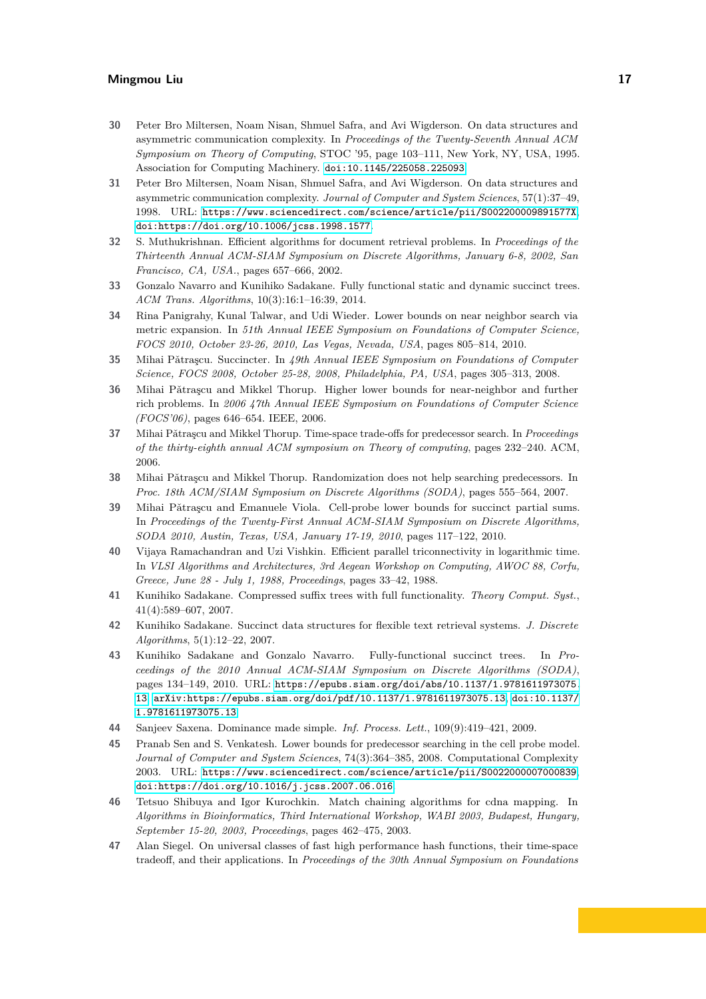- <span id="page-16-10"></span>**30** Peter Bro Miltersen, Noam Nisan, Shmuel Safra, and Avi Wigderson. On data structures and asymmetric communication complexity. In *Proceedings of the Twenty-Seventh Annual ACM Symposium on Theory of Computing*, STOC '95, page 103–111, New York, NY, USA, 1995. Association for Computing Machinery. [doi:10.1145/225058.225093](https://doi.org/10.1145/225058.225093).
- <span id="page-16-11"></span>**31** Peter Bro Miltersen, Noam Nisan, Shmuel Safra, and Avi Wigderson. On data structures and asymmetric communication complexity. *Journal of Computer and System Sciences*, 57(1):37–49, 1998. URL: <https://www.sciencedirect.com/science/article/pii/S002200009891577X>, [doi:https://doi.org/10.1006/jcss.1998.1577](https://doi.org/https://doi.org/10.1006/jcss.1998.1577).
- <span id="page-16-1"></span>**32** S. Muthukrishnan. Efficient algorithms for document retrieval problems. In *Proceedings of the Thirteenth Annual ACM-SIAM Symposium on Discrete Algorithms, January 6-8, 2002, San Francisco, CA, USA.*, pages 657–666, 2002.
- <span id="page-16-7"></span>**33** Gonzalo Navarro and Kunihiko Sadakane. Fully functional static and dynamic succinct trees. *ACM Trans. Algorithms*, 10(3):16:1–16:39, 2014.
- <span id="page-16-13"></span>**34** Rina Panigrahy, Kunal Talwar, and Udi Wieder. Lower bounds on near neighbor search via metric expansion. In *51th Annual IEEE Symposium on Foundations of Computer Science, FOCS 2010, October 23-26, 2010, Las Vegas, Nevada, USA*, pages 805–814, 2010.
- <span id="page-16-8"></span>**35** Mihai Pǎtrascu. Succincter. In *49th Annual IEEE Symposium on Foundations of Computer Science, FOCS 2008, October 25-28, 2008, Philadelphia, PA, USA*, pages 305–313, 2008.
- <span id="page-16-12"></span>**36** Mihai Pǎtrascu and Mikkel Thorup. Higher lower bounds for near-neighbor and further rich problems. In *2006 47th Annual IEEE Symposium on Foundations of Computer Science (FOCS'06)*, pages 646–654. IEEE, 2006.
- <span id="page-16-16"></span>**37** Mihai Pǎtraşcu and Mikkel Thorup. Time-space trade-offs for predecessor search. In *Proceedings of the thirty-eighth annual ACM symposium on Theory of computing*, pages 232–240. ACM, 2006.
- <span id="page-16-17"></span>**38** Mihai Pǎtraşcu and Mikkel Thorup. Randomization does not help searching predecessors. In *Proc. 18th ACM/SIAM Symposium on Discrete Algorithms (SODA)*, pages 555–564, 2007.
- <span id="page-16-9"></span>**39** Mihai Pǎtrașcu and Emanuele Viola. Cell-probe lower bounds for succinct partial sums. In *Proceedings of the Twenty-First Annual ACM-SIAM Symposium on Discrete Algorithms, SODA 2010, Austin, Texas, USA, January 17-19, 2010*, pages 117–122, 2010.
- <span id="page-16-0"></span>**40** Vijaya Ramachandran and Uzi Vishkin. Efficient parallel triconnectivity in logarithmic time. In *VLSI Algorithms and Architectures, 3rd Aegean Workshop on Computing, AWOC 88, Corfu, Greece, June 28 - July 1, 1988, Proceedings*, pages 33–42, 1988.
- <span id="page-16-2"></span>**41** Kunihiko Sadakane. Compressed suffix trees with full functionality. *Theory Comput. Syst.*, 41(4):589–607, 2007.
- <span id="page-16-3"></span>**42** Kunihiko Sadakane. Succinct data structures for flexible text retrieval systems. *J. Discrete Algorithms*, 5(1):12–22, 2007.
- <span id="page-16-6"></span>**43** Kunihiko Sadakane and Gonzalo Navarro. Fully-functional succinct trees. In *Proceedings of the 2010 Annual ACM-SIAM Symposium on Discrete Algorithms (SODA)*, pages 134–149, 2010. URL: [https://epubs.siam.org/doi/abs/10.1137/1.9781611973075.](https://epubs.siam.org/doi/abs/10.1137/1.9781611973075.13) [13](https://epubs.siam.org/doi/abs/10.1137/1.9781611973075.13), [arXiv:https://epubs.siam.org/doi/pdf/10.1137/1.9781611973075.13](http://arxiv.org/abs/https://epubs.siam.org/doi/pdf/10.1137/1.9781611973075.13), [doi:10.1137/](https://doi.org/10.1137/1.9781611973075.13) [1.9781611973075.13](https://doi.org/10.1137/1.9781611973075.13).
- <span id="page-16-4"></span>**44** Sanjeev Saxena. Dominance made simple. *Inf. Process. Lett.*, 109(9):419–421, 2009.
- <span id="page-16-15"></span>**45** Pranab Sen and S. Venkatesh. Lower bounds for predecessor searching in the cell probe model. *Journal of Computer and System Sciences*, 74(3):364–385, 2008. Computational Complexity 2003. URL: <https://www.sciencedirect.com/science/article/pii/S0022000007000839>, [doi:https://doi.org/10.1016/j.jcss.2007.06.016](https://doi.org/https://doi.org/10.1016/j.jcss.2007.06.016).
- <span id="page-16-5"></span>**46** Tetsuo Shibuya and Igor Kurochkin. Match chaining algorithms for cdna mapping. In *Algorithms in Bioinformatics, Third International Workshop, WABI 2003, Budapest, Hungary, September 15-20, 2003, Proceedings*, pages 462–475, 2003.
- <span id="page-16-14"></span>**47** Alan Siegel. On universal classes of fast high performance hash functions, their time-space tradeoff, and their applications. In *Proceedings of the 30th Annual Symposium on Foundations*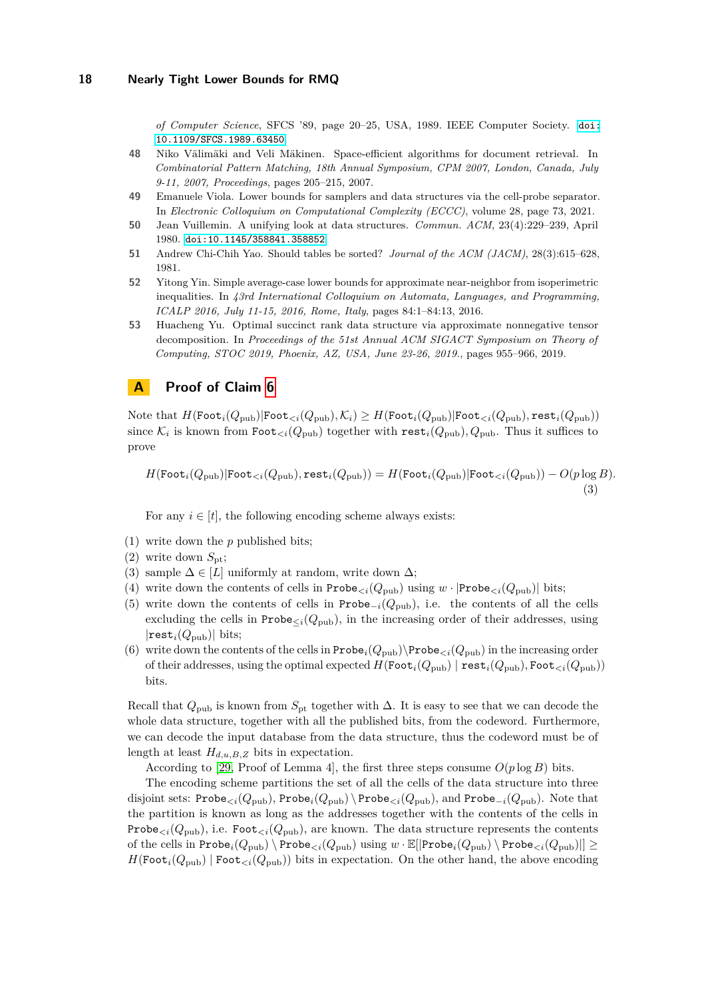*of Computer Science*, SFCS '89, page 20–25, USA, 1989. IEEE Computer Society. [doi:](https://doi.org/10.1109/SFCS.1989.63450) [10.1109/SFCS.1989.63450](https://doi.org/10.1109/SFCS.1989.63450).

- <span id="page-17-0"></span>**48** Niko Välimäki and Veli Mäkinen. Space-efficient algorithms for document retrieval. In *Combinatorial Pattern Matching, 18th Annual Symposium, CPM 2007, London, Canada, July 9-11, 2007, Proceedings*, pages 205–215, 2007.
- <span id="page-17-3"></span>**49** Emanuele Viola. Lower bounds for samplers and data structures via the cell-probe separator. In *Electronic Colloquium on Computational Complexity (ECCC)*, volume 28, page 73, 2021.
- <span id="page-17-1"></span>**50** Jean Vuillemin. A unifying look at data structures. *Commun. ACM*, 23(4):229–239, April 1980. [doi:10.1145/358841.358852](https://doi.org/10.1145/358841.358852).
- <span id="page-17-4"></span>**51** Andrew Chi-Chih Yao. Should tables be sorted? *Journal of the ACM (JACM)*, 28(3):615–628, 1981.
- <span id="page-17-2"></span>**52** Yitong Yin. Simple average-case lower bounds for approximate near-neighbor from isoperimetric inequalities. In *43rd International Colloquium on Automata, Languages, and Programming, ICALP 2016, July 11-15, 2016, Rome, Italy*, pages 84:1–84:13, 2016.
- <span id="page-17-5"></span>**53** Huacheng Yu. Optimal succinct rank data structure via approximate nonnegative tensor decomposition. In *Proceedings of the 51st Annual ACM SIGACT Symposium on Theory of Computing, STOC 2019, Phoenix, AZ, USA, June 23-26, 2019.*, pages 955–966, 2019.

## <span id="page-17-6"></span>**A Proof of Claim [6](#page-12-1)**

 $N$ ote that  $H(\text{Foot}_{i}(Q_{\text{pub}})|\text{Foot}_{\leq i}(Q_{\text{pub}}), \mathcal{K}_{i}) \geq H(\text{Foot}_{i}(Q_{\text{pub}})|\text{Foot}_{\leq i}(Q_{\text{pub}}), \text{rest}_{i}(Q_{\text{pub}}))$ since  $\mathcal{K}_i$  is known from  $\texttt{foot}_{\leq i}(Q_{\text{pub}})$  together with  $\texttt{rest}_i(Q_{\text{pub}}), Q_{\text{pub}}.$  Thus it suffices to prove

<span id="page-17-7"></span>
$$
H(\text{Foot}_{i}(Q_{\text{pub}})|\text{Foot}_{\leq i}(Q_{\text{pub}}), \text{rest}_{i}(Q_{\text{pub}})) = H(\text{Foot}_{i}(Q_{\text{pub}})|\text{Foot}_{\leq i}(Q_{\text{pub}})) - O(p \log B). \tag{3}
$$

For any  $i \in [t]$ , the following encoding scheme always exists:

- (1) write down the *p* published bits;
- (2) write down  $S_{\text{pt}}$ ;
- (3) sample  $\Delta \in [L]$  uniformly at random, write down  $\Delta$ ;
- (4) write down the contents of cells in  $\text{Probe}_{\leq i}(Q_{\text{pub}})$  using  $w \cdot |\text{Probe}_{\leq i}(Q_{\text{pub}})|$  bits;
- (5) write down the contents of cells in Probe<sup>−</sup>*i*(*Q*pub), i.e. the contents of all the cells excluding the cells in  $\text{Probe}_{\leq i}(Q_{\text{pub}})$ , in the increasing order of their addresses, using |rest*i*(*Q*pub)| bits;
- (6) write down the contents of the cells in  $\text{Probe}_i(Q_{\text{pub}})\$ robe<sub> $\lt i(Q_{\text{pub}})$  in the increasing order</sub> of their addresses, using the optimal expected  $H(\text{Foot}_{i}(Q_{\text{pub}})) \mid \text{rest}_{i}(Q_{\text{pub}}), \text{Foot}_{\leq i}(Q_{\text{pub}}))$ bits.

Recall that  $Q_{\text{pub}}$  is known from  $S_{\text{pt}}$  together with  $\Delta$ . It is easy to see that we can decode the whole data structure, together with all the published bits, from the codeword. Furthermore, we can decode the input database from the data structure, thus the codeword must be of length at least  $H_{d,u,B,Z}$  bits in expectation.

According to [\[29,](#page-15-9) Proof of Lemma 4], the first three steps consume  $O(p \log B)$  bits.

The encoding scheme partitions the set of all the cells of the data structure into three disjoint sets: Probe<sub> $\lt i$ </sub>( $Q_{\text{pub}}$ ), Probe<sub>*i*</sub>( $Q_{\text{pub}}$ ) \Probe<sub> $\lt i$ </sub>( $Q_{\text{pub}}$ ), and Probe<sub>−*i*</sub>( $Q_{\text{pub}}$ ). Note that the partition is known as long as the addresses together with the contents of the cells in Probe<sub> $\lt i$ </sub>( $Q_{\text{pub}}$ ), i.e. Foot<sub> $\lt i$ </sub>( $Q_{\text{pub}}$ ), are known. The data structure represents the contents of the cells in  $\text{Probe}_i(Q_{\text{pub}}) \setminus \text{Probe}_{i}(Q_{\text{pub}})$  using  $w \cdot \mathbb{E}[|\text{Probe}_i(Q_{\text{pub}}) \setminus \text{Probe}_{i}(Q_{\text{pub}})|] \ge$  $H(\text{Foot}_{i}(Q_{\text{pub}}))$   $\text{Foot}_{\leq i}(Q_{\text{pub}})$  bits in expectation. On the other hand, the above encoding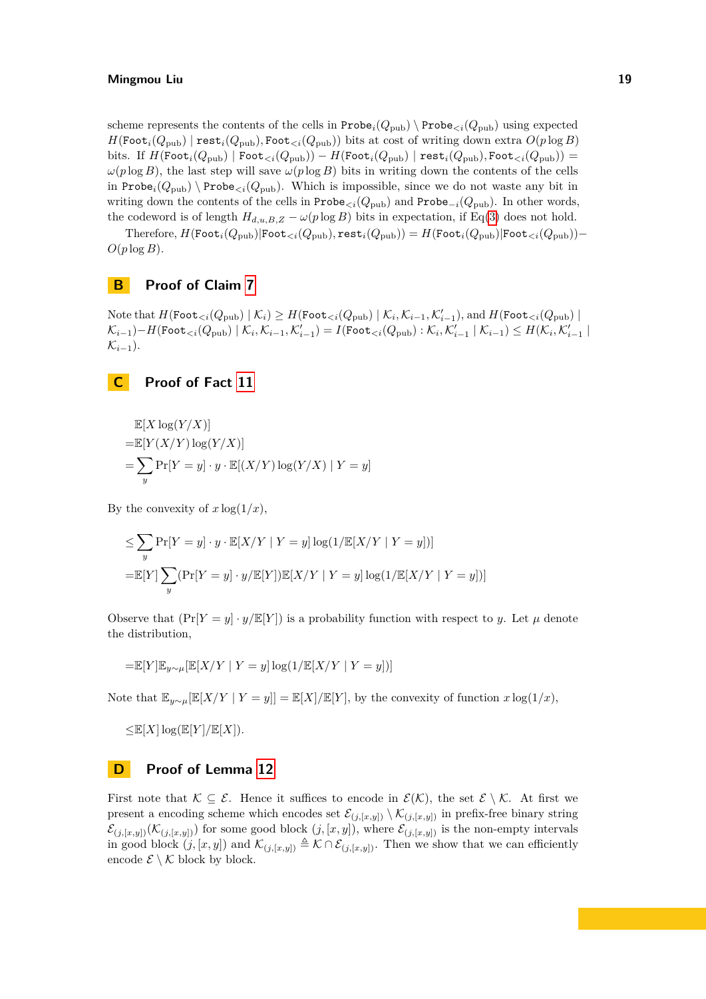scheme represents the contents of the cells in  $\text{Prob}_{i}(Q_{\text{pub}}) \setminus \text{Prob}_{\leq i}(Q_{\text{pub}})$  using expected  $H(\text{Foot}_{i}(Q_{\text{pub}}) \mid \text{rest}_{i}(Q_{\text{pub}}), \text{Foot}_{\leq i}(Q_{\text{pub}}))$  bits at cost of writing down extra  $O(p \log B)$ bits. If  $H(\text{Foot}_{i}(Q_{\text{pub}}) | \text{Foot}_{\leq i}(Q_{\text{pub}})) - H(\text{Foot}_{i}(Q_{\text{pub}}) | \text{rest}_{i}(Q_{\text{pub}}), \text{Foot}_{\leq i}(Q_{\text{pub}})) =$  $\omega(p \log B)$ , the last step will save  $\omega(p \log B)$  bits in writing down the contents of the cells in Probe<sub>*i*</sub>( $Q_{\text{pub}}$ ) \Probe<sub> $\lt i$ </sub>( $Q_{\text{pub}}$ ). Which is impossible, since we do not waste any bit in writing down the contents of the cells in  $\text{Probe}_{\leq i}(Q_{\text{pub}})$  and  $\text{Probe}_{-i}(Q_{\text{pub}})$ . In other words, the codeword is of length  $H_{d,u,B,Z} - \omega(p \log B)$  bits in expectation, if Eq[\(3\)](#page-17-7) does not hold.

 $T$ herefore,  $H(\text{Foot}_{i}(Q_{\text{pub}})|\text{Foot}_{< i}(Q_{\text{pub}}), \text{rest}_{i}(Q_{\text{pub}})) = H(\text{Foot}_{i}(Q_{\text{pub}})|\text{Foot}_{< i}(Q_{\text{pub}})) O(p \log B)$ .

## <span id="page-18-0"></span>**B Proof of Claim [7](#page-12-2)**

 $\text{Note that } H(\text{Foot}_{\leq i}(Q_{\text{pub}}) \mid \mathcal{K}_i) \geq H(\text{Foot}_{\leq i}(Q_{\text{pub}}) \mid \mathcal{K}_i, \mathcal{K}_{i-1}, \mathcal{K}'_{i-1}), \text{and } H(\text{Foot}_{\leq i}(Q_{\text{pub}}) \mid \mathcal{K}_i)$  $\mathcal{K}_{i-1}) - H(\texttt{Foot}_{$  $\mathcal{K}_{i-1}$ ).

## <span id="page-18-1"></span>**C Proof of Fact [11](#page-13-2)**

$$
\mathbb{E}[X \log(Y/X)]
$$
  
=\mathbb{E}[Y(X/Y) \log(Y/X)]  
=\sum\_{y} \Pr[Y = y] \cdot y \cdot \mathbb{E}[(X/Y) \log(Y/X) | Y = y]

By the convexity of  $x \log(1/x)$ ,

$$
\leq \sum_{y} \Pr[Y = y] \cdot y \cdot \mathbb{E}[X/Y | Y = y] \log(1/\mathbb{E}[X/Y | Y = y])]
$$

$$
= \mathbb{E}[Y] \sum_{y} (\Pr[Y = y] \cdot y/\mathbb{E}[Y]) \mathbb{E}[X/Y | Y = y] \log(1/\mathbb{E}[X/Y | Y = y])]
$$

Observe that  $(\Pr[Y = y] \cdot y / \mathbb{E}[Y])$  is a probability function with respect to *y*. Let  $\mu$  denote the distribution,

$$
=\!\mathbb{E}[Y]\mathbb{E}_{y\sim\mu}[\mathbb{E}[X/Y\mid Y=y]\log(1/\mathbb{E}[X/Y\mid Y=y])]
$$

Note that  $\mathbb{E}_{y \sim \mu}[\mathbb{E}[X/Y | Y = y]] = \mathbb{E}[X]/\mathbb{E}[Y]$ , by the convexity of function  $x \log(1/x)$ ,

 $\leq$   $\mathbb{E}[X] \log(\mathbb{E}[Y]/\mathbb{E}[X])$ *.* 

## <span id="page-18-2"></span>**D Proof of Lemma [12](#page-13-3)**

First note that  $\mathcal{K} \subseteq \mathcal{E}$ . Hence it suffices to encode in  $\mathcal{E}(\mathcal{K})$ , the set  $\mathcal{E} \setminus \mathcal{K}$ . At first we present a encoding scheme which encodes set  $\mathcal{E}_{(j,[x,y])} \setminus \mathcal{K}_{(j,[x,y])}$  in prefix-free binary string  $\mathcal{E}_{(j,[x,y])}(\mathcal{K}_{(j,[x,y])})$  for some good block  $(j,[x,y])$ , where  $\mathcal{E}_{(j,[x,y])}$  is the non-empty intervals in good block  $(j, [x, y])$  and  $\mathcal{K}_{(j, [x, y])} \triangleq \mathcal{K} \cap \mathcal{E}_{(j, [x, y])}$ . Then we show that we can efficiently encode  $\mathcal{E} \setminus \mathcal{K}$  block by block.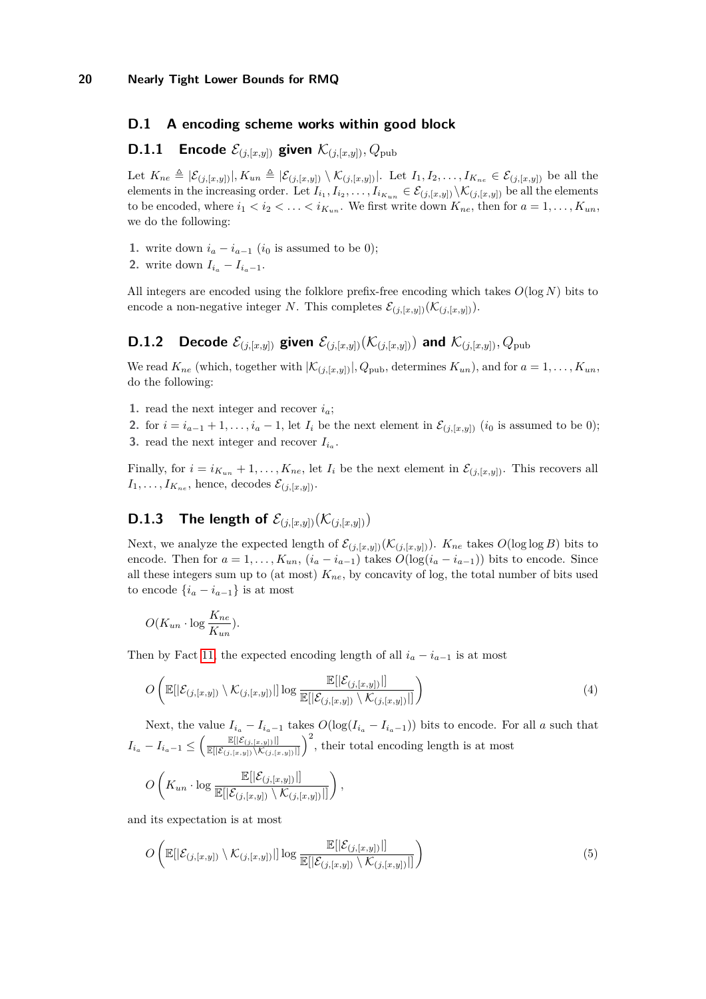## **D.1 A encoding scheme works within good block**

## **D.1.1** Encode  $\mathcal{E}_{(j,[x,y])}$  given  $\mathcal{K}_{(j,[x,y])}, Q_{\text{pub}}$

Let  $K_{ne} \triangleq |\mathcal{E}_{(j,[x,y])}|, K_{un} \triangleq |\mathcal{E}_{(j,[x,y])} \setminus \mathcal{K}_{(j,[x,y])}|$ . Let  $I_1, I_2, \ldots, I_{K_{ne}} \in \mathcal{E}_{(j,[x,y])}$  be all the elements in the increasing order. Let  $I_{i_1}, I_{i_2}, \ldots, I_{i_{K_{un}}} \in \mathcal{E}_{(j,[x,y])} \setminus \mathcal{K}_{(j,[x,y])}$  be all the elements to be encoded, where  $i_1 < i_2 < \ldots < i_{K_{un}}$ . We first write down  $K_{ne}$ , then for  $a = 1, \ldots, K_{un}$ , we do the following:

- **1.** write down  $i_a i_{a-1}$  ( $i_0$  is assumed to be 0);
- 2. write down  $I_{i_a} I_{i_a-1}$ .

All integers are encoded using the folklore prefix-free encoding which takes *O*(log *N*) bits to encode a non-negative integer *N*. This completes  $\mathcal{E}_{(j,[x,y])}(\mathcal{K}_{(j,[x,y])})$ .

## **D.1.2** Decode  $\mathcal{E}_{(i,[x,y])}$  given  $\mathcal{E}_{(i,[x,y])}(\mathcal{K}_{(i,[x,y])})$  and  $\mathcal{K}_{(i,[x,y])}$ ,  $Q_{\text{pub}}$

We read  $K_{ne}$  (which, together with  $|\mathcal{K}_{(j,[x,y])}|, Q_{pub}$ , determines  $K_{un}$ ), and for  $a = 1, \ldots, K_{un}$ , do the following:

1. read the next integer and recover  $i_a$ ;

2. for  $i = i_{a-1} + 1, \ldots, i_a - 1$ , let  $I_i$  be the next element in  $\mathcal{E}_{(j,[x,y])}$   $(i_0$  is assumed to be 0); **3.** read the next integer and recover  $I_{i_a}$ .

Finally, for  $i = i_{K_{un}} + 1, \ldots, K_{ne}$ , let  $I_i$  be the next element in  $\mathcal{E}_{(i,[x,y])}$ . This recovers all  $I_1, \ldots, I_{K_{ne}}$ , hence, decodes  $\mathcal{E}_{(j,[x,y])}$ .

# **D.1.3** The length of  $\mathcal{E}_{(j,[x,y])}(\mathcal{K}_{(j,[x,y])})$

Next, we analyze the expected length of  $\mathcal{E}_{(j,[x,y])}(\mathcal{K}_{(j,[x,y])})$ .  $K_{ne}$  takes  $O(\log \log B)$  bits to encode. Then for  $a = 1, \ldots, K_{un}$ ,  $(i_a - i_{a-1})$  takes  $O(log(i_a - i_{a-1}))$  bits to encode. Since all these integers sum up to (at most)  $K_{ne}$ , by concavity of log, the total number of bits used to encode  $\{i_a - i_{a-1}\}\$ is at most

$$
O(K_{un} \cdot \log \frac{K_{ne}}{K_{un}}).
$$

Then by Fact [11,](#page-13-2) the expected encoding length of all  $i_a - i_{a-1}$  is at most

<span id="page-19-1"></span>
$$
O\left(\mathbb{E}[\mathcal{E}_{(j,[x,y])}\setminus\mathcal{K}_{(j,[x,y])}]]\log\frac{\mathbb{E}[\mathcal{E}_{(j,[x,y])}]]}{\mathbb{E}[\mathcal{E}_{(j,[x,y])}\setminus\mathcal{K}_{(j,[x,y])}]]}\right)
$$
(4)

Next, the value  $I_{i_a} - I_{i_a-1}$  takes  $O(\log(I_{i_a} - I_{i_a-1}))$  bits to encode. For all *a* such that  $I_{i_a} - I_{i_a-1} \leq \left( \frac{\mathbb{E}[|\mathcal{E}_{(j,[x,y])}|]}{\mathbb{E}[|\mathcal{E}_{(j,[x,y])}\setminus \mathcal{K}_{(j,[x,y])}|]}} \right)$  $\frac{\mathbb{E}[|\mathcal{E}_{(j,[x,y])}|]}{\mathbb{E}[|\mathcal{E}_{(j,[x,y])}\setminus \mathcal{K}_{(j,[x,y])}|]}$ <sup>2</sup>, their total encoding length is at most

$$
O\left(K_{un} \cdot \log \frac{\mathbb{E}[|\mathcal{E}_{(j,[x,y])}|]}{\mathbb{E}[|\mathcal{E}_{(j,[x,y])} \setminus \mathcal{K}_{(j,[x,y])}|]}\right),\,
$$

and its expectation is at most

<span id="page-19-2"></span><span id="page-19-0"></span>
$$
O\left(\mathbb{E}\left[\left|\mathcal{E}_{(j,[x,y])}\setminus\mathcal{K}_{(j,[x,y])}\right|\right]\log\frac{\mathbb{E}\left[\left|\mathcal{E}_{(j,[x,y])}\right|\right]}{\mathbb{E}\left[\left|\mathcal{E}_{(j,[x,y])}\setminus\mathcal{K}_{(j,[x,y])}\right|\right]}\right)\right)
$$
(5)